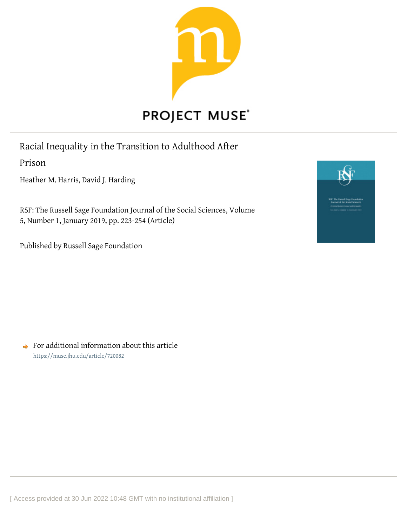

# **PROJECT MUSE®**

Racial Inequality in the Transition to Adulthood After

Prison

Heather M. Harris, David J. Harding

RSF: The Russell Sage Foundation Journal of the Social Sciences, Volume 5, Number 1, January 2019, pp. 223-254 (Article)

Published by Russell Sage Foundation



 $\rightarrow$  For additional information about this article <https://muse.jhu.edu/article/720082>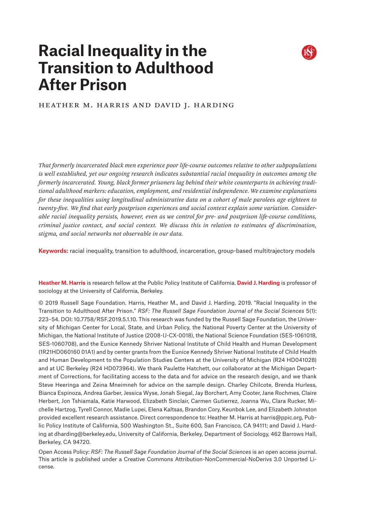# **Racial Inequality in the Transition to Adulthood After Prison**



Heather M. Harris and David J. Harding

*That formerly incarcerated black men experience poor life-course outcomes relative to other subpopulations is well established, yet our ongoing research indicates substantial racial inequality in outcomes among the formerly incarcerated. Young, black former prisoners lag behind their white counterparts in achieving traditional adulthood markers: education, employment, and residential independence. We examine explanations for these inequalities using longitudinal administrative data on a cohort of male parolees age eighteen to twenty-five. We find that early postprison experiences and social context explain some variation. Considerable racial inequality persists, however, even as we control for pre- and postprison life-course conditions, criminal justice contact, and social context. We discuss this in relation to estimates of discrimination, stigma, and social networks not observable in our data.*

**Keywords:** racial inequality, transition to adulthood, incarceration, group-based multitrajectory models

**Heather M. Harris** is research fellow at the Public Policy Institute of California. **David J. Harding** is professor of sociology at the University of California, Berkeley.

© 2019 Russell Sage Foundation. Harris, Heather M., and David J. Harding. 2019. "Racial Inequality in the Transition to Adulthood After Prison." *RSF: The Russell Sage Foundation Journal of the Social Sciences* 5(1): 223–54. DOI: 10.7758/RSF.2019.5.1.10. This research was funded by the Russell Sage Foundation, the University of Michigan Center for Local, State, and Urban Policy, the National Poverty Center at the University of Michigan, the National Institute of Justice (2008-IJ-CX-0018), the National Science Foundation (SES-1061018, SES-1060708), and the Eunice Kennedy Shriver National Institute of Child Health and Human Development (1R21HD060160 01A1) and by center grants from the Eunice Kennedy Shriver National Institute of Child Health and Human Development to the Population Studies Centers at the University of Michigan (R24 HD041028) and at UC Berkeley (R24 HD073964). We thank Paulette Hatchett, our collaborator at the Michigan Department of Corrections, for facilitating access to the data and for advice on the research design, and we thank Steve Heeringa and Zeina Mneimneh for advice on the sample design. Charley Chilcote, Brenda Hurless, Bianca Espinoza, Andrea Garber, Jessica Wyse, Jonah Siegal, Jay Borchert, Amy Cooter, Jane Rochmes, Claire Herbert, Jon Tshiamala, Katie Harwood, Elizabeth Sinclair, Carmen Gutierrez, Joanna Wu, Clara Rucker, Michelle Hartzog, Tyrell Connor, Madie Lupei, Elena Kaltsas, Brandon Cory, Keunbok Lee, and Elizabeth Johnston provided excellent research assistance. Direct correspondence to: Heather M. Harris at [harris@ppic.org](mailto:harris%40ppic.org?subject=), Public Policy Institute of California, 500 Washington St., Suite 600, San Francisco, CA 94111; and David J. Harding at [dharding@berkeley.edu,](mailto:dharding%40berkeley.edu?subject=) University of California, Berkeley, Department of Sociology, 462 Barrows Hall, Berkeley, CA 94720.

Open Access Policy: *RSF: The Russell Sage Foundation Journal of the Social Sciences* is an open access journal. This article is published under a Creative Commons Attribution-NonCommercial-NoDerivs 3.0 Unported License.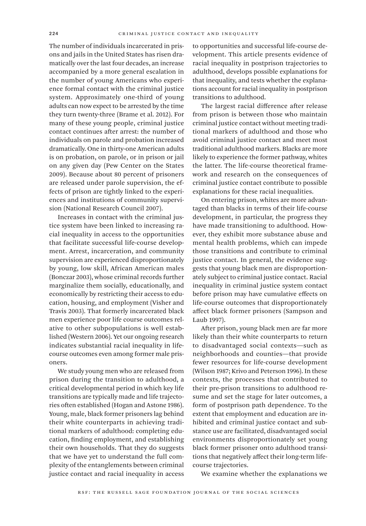The number of individuals incarcerated in prisons and jails in the United States has risen dramatically over the last four decades, an increase accompanied by a more general escalation in the number of young Americans who experience formal contact with the criminal justice system. Approximately one-third of young adults can now expect to be arrested by the time they turn twenty-three (Brame et al. 2012). For many of these young people, criminal justice contact continues after arrest: the number of individuals on parole and probation increased dramatically. One in thirty-one American adults is on probation, on parole, or in prison or jail on any given day (Pew Center on the States 2009). Because about 80 percent of prisoners are released under parole supervision, the effects of prison are tightly linked to the experiences and institutions of community supervision (National Research Council 2007).

Increases in contact with the criminal justice system have been linked to increasing racial inequality in access to the opportunities that facilitate successful life-course development. Arrest, incarceration, and community supervision are experienced disproportionately by young, low skill, African American males (Bonczar 2003), whose criminal records further marginalize them socially, educationally, and economically by restricting their access to education, housing, and employment (Visher and Travis 2003). That formerly incarcerated black men experience poor life course outcomes relative to other subpopulations is well established (Western 2006). Yet our ongoing research indicates substantial racial inequality in lifecourse outcomes even among former male prisoners.

We study young men who are released from prison during the transition to adulthood, a critical developmental period in which key life transitions are typically made and life trajectories often established (Hogan and Astone 1986). Young, male, black former prisoners lag behind their white counterparts in achieving traditional markers of adulthood: completing education, finding employment, and establishing their own households. That they do suggests that we have yet to understand the full complexity of the entanglements between criminal justice contact and racial inequality in access

to opportunities and successful life-course development. This article presents evidence of racial inequality in postprison trajectories to adulthood, develops possible explanations for that inequality, and tests whether the explanations account for racial inequality in postprison transitions to adulthood.

The largest racial difference after release from prison is between those who maintain criminal justice contact without meeting traditional markers of adulthood and those who avoid criminal justice contact and meet most traditional adulthood markers. Blacks are more likely to experience the former pathway, whites the latter. The life-course theoretical framework and research on the consequences of criminal justice contact contribute to possible explanations for these racial inequalities.

On entering prison, whites are more advantaged than blacks in terms of their life-course development, in particular, the progress they have made transitioning to adulthood. However, they exhibit more substance abuse and mental health problems, which can impede those transitions and contribute to criminal justice contact. In general, the evidence suggests that young black men are disproportionately subject to criminal justice contact. Racial inequality in criminal justice system contact before prison may have cumulative effects on life-course outcomes that disproportionately affect black former prisoners (Sampson and Laub 1997).

After prison, young black men are far more likely than their white counterparts to return to disadvantaged social contexts—such as neighborhoods and counties—that provide fewer resources for life-course development (Wilson 1987; Krivo and Peterson 1996). In these contexts, the processes that contributed to their pre-prison transitions to adulthood resume and set the stage for later outcomes, a form of postprison path dependence. To the extent that employment and education are inhibited and criminal justice contact and substance use are facilitated, disadvantaged social environments disproportionately set young black former prisoner onto adulthood transitions that negatively affect their long-term lifecourse trajectories.

We examine whether the explanations we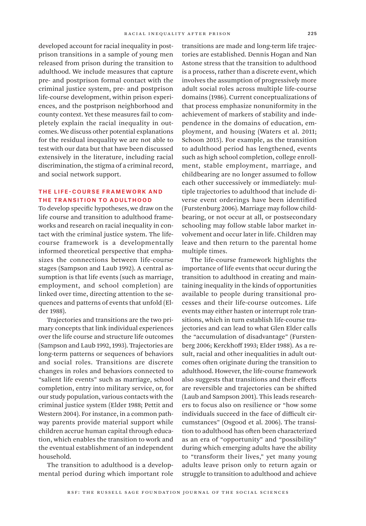developed account for racial inequality in postprison transitions in a sample of young men released from prison during the transition to adulthood. We include measures that capture pre- and postprison formal contact with the criminal justice system, pre- and postprison life-course development, within prison experiences, and the postprison neighborhood and county context. Yet these measures fail to completely explain the racial inequality in out-

comes. We discuss other potential explanations for the residual inequality we are not able to test with our data but that have been discussed extensively in the literature, including racial discrimination, the stigma of a criminal record, and social network support.

# The Life-Course Framework and the Transition to Adulthood

To develop specific hypotheses, we draw on the life course and transition to adulthood frameworks and research on racial inequality in contact with the criminal justice system. The lifecourse framework is a developmentally informed theoretical perspective that emphasizes the connections between life-course stages (Sampson and Laub 1992). A central assumption is that life events (such as marriage, employment, and school completion) are linked over time, directing attention to the sequences and patterns of events that unfold (Elder 1988).

Trajectories and transitions are the two primary concepts that link individual experiences over the life course and structure life outcomes (Sampson and Laub 1992, 1993). Trajectories are long-term patterns or sequences of behaviors and social roles. Transitions are discrete changes in roles and behaviors connected to "salient life events" such as marriage, school completion, entry into military service, or, for our study population, various contacts with the criminal justice system (Elder 1988; Pettit and Western 2004). For instance, in a common pathway parents provide material support while children accrue human capital through education, which enables the transition to work and the eventual establishment of an independent household.

The transition to adulthood is a developmental period during which important role transitions are made and long-term life trajectories are established. Dennis Hogan and Nan Astone stress that the transition to adulthood is a process, rather than a discrete event, which involves the assumption of progressively more adult social roles across multiple life-course domains (1986). Current conceptualizations of that process emphasize nonuniformity in the achievement of markers of stability and independence in the domains of education, employment, and housing (Waters et al. 2011; Schoon 2015). For example, as the transition to adulthood period has lengthened, events such as high school completion, college enrollment, stable employment, marriage, and childbearing are no longer assumed to follow each other successively or immediately: multiple trajectories to adulthood that include diverse event orderings have been identified (Furstenburg 2006). Marriage may follow childbearing, or not occur at all, or postsecondary schooling may follow stable labor market involvement and occur later in life. Children may leave and then return to the parental home multiple times.

The life-course framework highlights the importance of life events that occur during the transition to adulthood in creating and maintaining inequality in the kinds of opportunities available to people during transitional processes and their life-course outcomes. Life events may either hasten or interrupt role transitions, which in turn establish life-course trajectories and can lead to what Glen Elder calls the "accumulation of disadvantage" (Furstenberg 2006; Kerckhoff 1993; Elder 1988). As a result, racial and other inequalities in adult outcomes often originate during the transition to adulthood. However, the life-course framework also suggests that transitions and their effects are reversible and trajectories can be shifted (Laub and Sampson 2001). This leads researchers to focus also on resilience or "how some individuals succeed in the face of difficult circumstances" (Osgood et al. 2006). The transition to adulthood has often been characterized as an era of "opportunity" and "possibility" during which emerging adults have the ability to "transform their lives," yet many young adults leave prison only to return again or struggle to transition to adulthood and achieve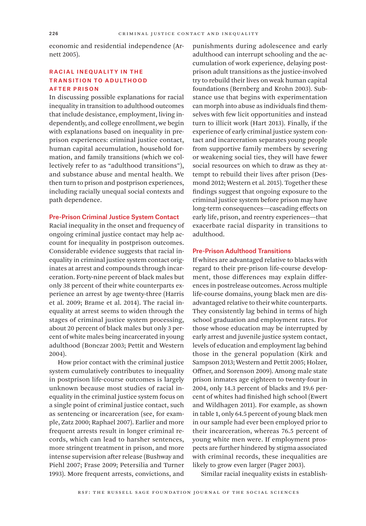economic and residential independence (Arnett 2005).

# RACIAL INEQUALITY IN THE Transition to Adulthood After Prison

In discussing possible explanations for racial inequality in transition to adulthood outcomes that include desistance, employment, living independently, and college enrollment, we begin with explanations based on inequality in preprison experiences: criminal justice contact, human capital accumulation, household formation, and family transitions (which we collectively refer to as "adulthood transitions"), and substance abuse and mental health. We then turn to prison and postprison experiences, including racially unequal social contexts and path dependence.

#### Pre-Prison Criminal Justice System Contact

Racial inequality in the onset and frequency of ongoing criminal justice contact may help account for inequality in postprison outcomes. Considerable evidence suggests that racial inequality in criminal justice system contact originates at arrest and compounds through incarceration. Forty-nine percent of black males but only 38 percent of their white counterparts experience an arrest by age twenty-three (Harris et al. 2009; Brame et al. 2014). The racial inequality at arrest seems to widen through the stages of criminal justice system processing, about 20 percent of black males but only 3 percent of white males being incarcerated in young adulthood (Bonczar 2003; Pettit and Western 2004).

How prior contact with the criminal justice system cumulatively contributes to inequality in postprison life-course outcomes is largely unknown because most studies of racial inequality in the criminal justice system focus on a single point of criminal justice contact, such as sentencing or incarceration (see, for example, Zatz 2000; Raphael 2007). Earlier and more frequent arrests result in longer criminal records, which can lead to harsher sentences, more stringent treatment in prison, and more intense supervision after release (Bushway and Piehl 2007; Frase 2009; Petersilia and Turner 1993). More frequent arrests, convictions, and

punishments during adolescence and early adulthood can interrupt schooling and the accumulation of work experience, delaying postprison adult transitions as the justice-involved try to rebuild their lives on weak human capital foundations (Bernberg and Krohn 2003). Substance use that begins with experimentation can morph into abuse as individuals find themselves with few licit opportunities and instead turn to illicit work (Hart 2013). Finally, if the experience of early criminal justice system contact and incarceration separates young people from supportive family members by severing or weakening social ties, they will have fewer social resources on which to draw as they attempt to rebuild their lives after prison (Desmond 2012; Western et al. 2015). Together these findings suggest that ongoing exposure to the criminal justice system before prison may have long-term consequences—cascading effects on early life, prison, and reentry experiences—that exacerbate racial disparity in transitions to adulthood.

#### Pre-Prison Adulthood Transitions

If whites are advantaged relative to blacks with regard to their pre-prison life-course development, those differences may explain differences in postrelease outcomes. Across multiple life-course domains, young black men are disadvantaged relative to their white counterparts. They consistently lag behind in terms of high school graduation and employment rates. For those whose education may be interrupted by early arrest and juvenile justice system contact, levels of education and employment lag behind those in the general population (Kirk and Sampson 2013; Western and Pettit 2005; Holzer, Offner, and Sorenson 2009). Among male state prison inmates age eighteen to twenty-four in 2004, only 14.3 percent of blacks and 19.6 percent of whites had finished high school (Ewert and Wildhagen 2011). For example, as shown in table 1, only 64.5 percent of young black men in our sample had ever been employed prior to their incarceration, whereas 76.5 percent of young white men were. If employment prospects are further hindered by stigma associated with criminal records, these inequalities are likely to grow even larger (Pager 2003).

Similar racial inequality exists in establish-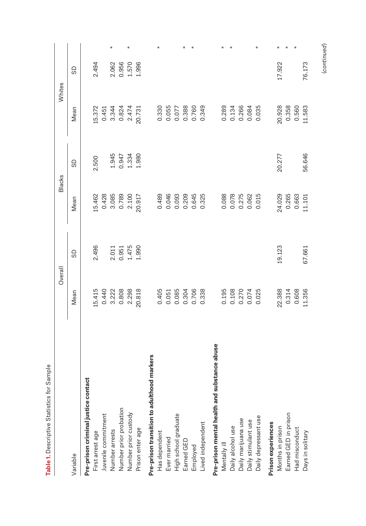| Table 1. Descriptive Statistics for Sample   |                         |                                    |                                   |                                    |                                           |                                    |  |
|----------------------------------------------|-------------------------|------------------------------------|-----------------------------------|------------------------------------|-------------------------------------------|------------------------------------|--|
|                                              |                         | Overall                            | Blacks                            |                                    | Whites                                    |                                    |  |
| Variable                                     | Mean                    | GD                                 | Mean                              | GD                                 | Mean                                      | G <sub>D</sub>                     |  |
| Pre-prison criminal justice contact          |                         |                                    |                                   |                                    |                                           |                                    |  |
| First arrest age                             | 15.415                  | 2.496                              |                                   | 2.500                              | 15.372                                    | 2.494                              |  |
| Juvenile commitment                          | 0.440                   |                                    | 15.462<br>0.428                   |                                    | 0.451                                     |                                    |  |
| Number arrests                               | 3.222                   |                                    | 3.085<br>0.789<br>2.100<br>20.917 |                                    |                                           |                                    |  |
| Number prior probation                       | 0.808                   | $2.011$<br>0.951<br>0.475<br>1.990 |                                   | $1.945$<br>0.947<br>1.334<br>1.980 | $3.344$<br>$0.824$<br>$2.074$<br>$2.0731$ | $2.062$<br>0.956<br>1.570<br>1.996 |  |
| Number prior custody                         | 2.298                   |                                    |                                   |                                    |                                           |                                    |  |
| Prison enter age                             | 20.818                  |                                    |                                   |                                    |                                           |                                    |  |
| Pre-prison transition to adulthood markers   |                         |                                    |                                   |                                    |                                           |                                    |  |
| Has dependent                                | 0.405                   |                                    | 0.489                             |                                    | 0.330                                     |                                    |  |
| Ever married                                 | 0.051                   |                                    |                                   |                                    | 0.055<br>0.077                            |                                    |  |
| High school graduate                         | 0.085                   |                                    | 0.046<br>0.093                    |                                    |                                           |                                    |  |
| Earned GED                                   |                         |                                    | 0.209<br>0.645                    |                                    |                                           |                                    |  |
| Employed                                     | 0.304<br>0.706<br>0.338 |                                    |                                   |                                    | 0.388<br>0.760<br>0.349                   |                                    |  |
| Lived independent                            |                         |                                    | 0.325                             |                                    |                                           |                                    |  |
| Pre-prison mental health and substance abuse |                         |                                    |                                   |                                    |                                           |                                    |  |
| Mentally ill                                 | 0.195                   |                                    | 0.088                             |                                    | 0.289                                     |                                    |  |
|                                              |                         |                                    | $0.078$<br>$0.275$<br>$0.062$     |                                    |                                           |                                    |  |
| Daily alcohol use<br>Daily marijuana use     | 0.108<br>0.270<br>0.074 |                                    |                                   |                                    | 0.134<br>0.266<br>0.084                   |                                    |  |
| Daily stimulant use                          |                         |                                    |                                   |                                    |                                           |                                    |  |
| Daily depressant use                         | 0.025                   |                                    | 0.015                             |                                    | 0.035                                     |                                    |  |
| Prison experiences                           |                         |                                    |                                   |                                    |                                           |                                    |  |
| Months in prison                             | 22.388                  | 19.123                             | 24.029                            | 20.277                             | 20.928                                    | 17.922                             |  |
| Earned GED in prison                         | 0.314                   |                                    | 0.265                             |                                    | 0.358                                     |                                    |  |

 $\ast$  $\ast$  $\ast$ 

 $\begin{array}{c} 20.928 \\ 0.358 \\ 0.560 \\ 11.583 \end{array}$ 

24.029<br>0.265<br>0.663<br>11.101

(*continued*)

76.173

56.646

67.661

Had misconduct Days in solitary

Months in prison 20.388 22.388 22.388 24.029 24.029 24.029 20.927 20.928 22.22 \* Earned GED in prison 0.314 0.265 0.358 \* \*\* and misconduct 0.608 0.608 0.608 0.608 0.608 0.5063 0.563 0.563 0.563 0.563 0.563 0.563 0.563 0.560  $\,$ Days in solitary 11.356 67.661 11.101 56.646 11.583 76.173

0.314<br>0.608<br>11.356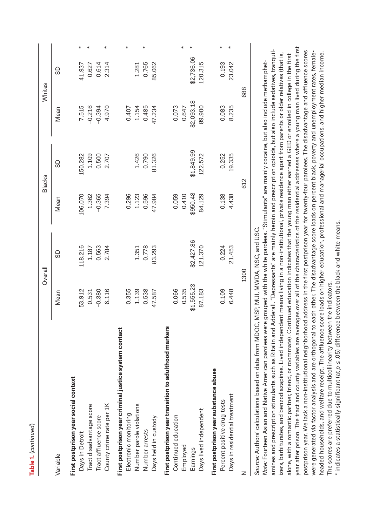Table 1. (continued) **Table 1.** (*continued*)

|                                                                                                                                                                                                                                                                                                                                                                                                                                                                                                                                                                             | Overall    |            |          | Blacks     |            | Whites     |  |
|-----------------------------------------------------------------------------------------------------------------------------------------------------------------------------------------------------------------------------------------------------------------------------------------------------------------------------------------------------------------------------------------------------------------------------------------------------------------------------------------------------------------------------------------------------------------------------|------------|------------|----------|------------|------------|------------|--|
| Variable                                                                                                                                                                                                                                                                                                                                                                                                                                                                                                                                                                    | Mean       | GD         | Mean     | GS         | Mean       | GD         |  |
| First postprison year social context                                                                                                                                                                                                                                                                                                                                                                                                                                                                                                                                        |            |            |          |            |            |            |  |
| Days in Detroit                                                                                                                                                                                                                                                                                                                                                                                                                                                                                                                                                             | 53.912     | 118.216    | 106.070  | 150.282    | 7.515      | 41.937     |  |
| Tract disadvantage score                                                                                                                                                                                                                                                                                                                                                                                                                                                                                                                                                    | 0.531      | 1.187      | 1.362    | 1.109      | $-0.216$   | 0.627      |  |
| Tract affluence score                                                                                                                                                                                                                                                                                                                                                                                                                                                                                                                                                       | $-0.380$   | 0.563      | $-0.365$ | 0.500      | $-0.394$   | 0.614      |  |
| County crime rate per 1K                                                                                                                                                                                                                                                                                                                                                                                                                                                                                                                                                    | 6.116      | 2.784      | 7.394    | 2.707      | 4.970      | 2.314      |  |
| First postprison year criminal justice system contact                                                                                                                                                                                                                                                                                                                                                                                                                                                                                                                       |            |            |          |            |            |            |  |
| Electronic monitoring                                                                                                                                                                                                                                                                                                                                                                                                                                                                                                                                                       | 0.355      |            | 0.296    |            | 0.407      |            |  |
| Number parole violations                                                                                                                                                                                                                                                                                                                                                                                                                                                                                                                                                    | 1.139      | 1.351      | 1.123    | 1.426      | 1.154      | 1.281      |  |
| Number arrests                                                                                                                                                                                                                                                                                                                                                                                                                                                                                                                                                              | 0.538      | 0.778      | 0.596    | 0.790      | 0.485      | 0.765      |  |
| Days held in custody                                                                                                                                                                                                                                                                                                                                                                                                                                                                                                                                                        | 47.587     | 83.293     | 47.984   | 81.326     | 47.234     | 85.062     |  |
| First postprison year transition to adulthood markers                                                                                                                                                                                                                                                                                                                                                                                                                                                                                                                       |            |            |          |            |            |            |  |
| Continued education                                                                                                                                                                                                                                                                                                                                                                                                                                                                                                                                                         | 0.066      |            | 0.059    |            | 0.073      |            |  |
| Employed                                                                                                                                                                                                                                                                                                                                                                                                                                                                                                                                                                    | 0.535      |            | 0.410    |            | 0.647      |            |  |
| Earnings                                                                                                                                                                                                                                                                                                                                                                                                                                                                                                                                                                    | \$1,555.23 | \$2,427.86 | \$950.48 | \$1,849.99 | \$2,093.18 | \$2,736.06 |  |
| Days lived independent                                                                                                                                                                                                                                                                                                                                                                                                                                                                                                                                                      | 87.183     | 121.370    | 84.129   | 122.572    | 89.900     | 120.315    |  |
| First postprison year substance abuse                                                                                                                                                                                                                                                                                                                                                                                                                                                                                                                                       |            |            |          |            |            |            |  |
| Percent positive drug tests                                                                                                                                                                                                                                                                                                                                                                                                                                                                                                                                                 | 0.109      | 0.224      | 0.138    | 0.252      | 0.083      | 0.193      |  |
| Days in residential treatment                                                                                                                                                                                                                                                                                                                                                                                                                                                                                                                                               | 6.448      | 21.453     | 4.438    | 19.335     | 8.235      | 23.042     |  |
| z                                                                                                                                                                                                                                                                                                                                                                                                                                                                                                                                                                           |            | 1300       |          | 612        |            | 688        |  |
| amines and prescription stimulants such as Ritalin and Adderall. "Depressants" are mainly heroin and prescription opioids, but also include sedatives, tranquil-<br>izere herbiturates and honzonings lived indonomiant means living in a non-institutional private residence and from parents or older relatives (that is<br>Note: Fourteen Asian and Native American parolees were grouped with the white parolees. "Stimulants" are mainly cocaine, but also include methamphet-<br>Source: Authors' calculations based on data from MDOC, MSP, MJI, MWDA, NSC, and USC. |            |            |          |            |            |            |  |

year after prison. The tract and county variables are averages over all of the characteristics of the residential addresses where a young man lived during the first year after prison. The tract and county variables are averages over all of the characteristics of the residential addresses where a young man lived during the first postprison year. We lack a non-institutional neighborhood address in the first postprison year for twenty-four parolees. The disadvantage and affluence scores postprison year. We lack a non-institutional neighborhood address in the first postprison year for twenty-four parolees. The disadvantage and affluence scores were generated via factor analysis and are orthogonal to each other. The disadvantage score loads on percent black, poverty and unemployment rates, femaleheaded households, and welfare receipt. The affluence score loads on higher education, professional and managerial occupations, and higher median income. izers, barbiturates, and benzodiazapines. Lived independent means living in a non-institutional, private residence apart from parents or older relatives (that is, were generated via factor analysis and are orthogonal to each other. The disadvantage score loads on percent black, poverty and unemployment rates, femaleheaded households, and welfare receipt. The affluence score loads on higher education, professional and managerial occupations, and higher median income. alone, with a romantic partner, friend, or roommate). Continued education indicates that the young man either earned a GED or enrolled in college in the first ראו און הארצונים הארצונים בארצונים בארצונים של המשפט בית המשפט בית המשפט בית המוכנים של המוכנים המשפט בית המשפט בית המוכנים בית המוכנים בית המוכנים בית המוכנים בית המוכנים בית המוכנים ב<br>המוכנים המוכנים במוכנים במוכנים במ alone, with a romantic partner, friend, or roommate). Continued education indicates that the young man either earned a GED or enrolled in college in the first The scores are preferred due to multicollinearity between the indicators. The scores are preferred due to multicollinearity between the indicators.

 $^*$  indicates a statistically significant (at  $p\leq .05$ ) difference between the black and white means. \* indicates a statistically significant (at *p* ≤ .05) difference between the black and white means.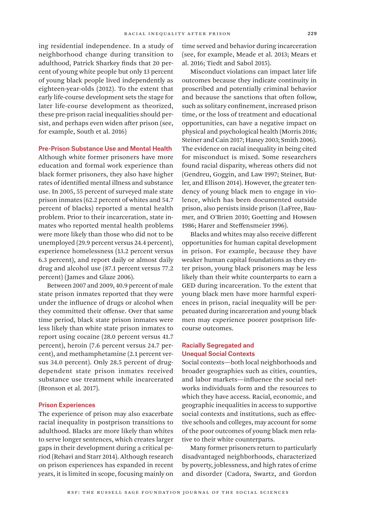ing residential independence. In a study of neighborhood change during transition to adulthood, Patrick Sharkey finds that 20 percent of young white people but only 13 percent of young black people lived independently as eighteen-year-olds (2012). To the extent that early life-course development sets the stage for later life-course development as theorized, these pre-prison racial inequalities should persist, and perhaps even widen after prison (see, for example, South et al. 2016)

#### Pre-Prison Substance Use and Mental Health

Although white former prisoners have more education and formal work experience than black former prisoners, they also have higher rates of identified mental illness and substance use. In 2005, 55 percent of surveyed male state prison inmates (62.2 percent of whites and 54.7 percent of blacks) reported a mental health problem. Prior to their incarceration, state inmates who reported mental health problems were more likely than those who did not to be unemployed (29.9 percent versus 24.4 percent), experience homelessness (13.2 percent versus 6.3 percent), and report daily or almost daily drug and alcohol use (87.1 percent versus 77.2 percent) (James and Glaze 2006).

Between 2007 and 2009, 40.9 percent of male state prison inmates reported that they were under the influence of drugs or alcohol when they committed their offense. Over that same time period, black state prison inmates were less likely than white state prison inmates to report using cocaine (28.0 percent versus 41.7 percent), heroin (7.6 percent versus 24.7 percent), and methamphetamine (2.1 percent versus 34.0 percent). Only 28.5 percent of drugdependent state prison inmates received substance use treatment while incarcerated (Bronson et al. 2017).

# Prison Experiences

The experience of prison may also exacerbate racial inequality in postprison transitions to adulthood. Blacks are more likely than whites to serve longer sentences, which creates larger gaps in their development during a critical period (Rehavi and Starr 2014). Although research on prison experiences has expanded in recent years, it is limited in scope, focusing mainly on

time served and behavior during incarceration (see, for example, Meade et al. 2013; Mears et al. 2016; Tiedt and Sabol 2015).

Misconduct violations can impact later life outcomes because they indicate continuity in proscribed and potentially criminal behavior and because the sanctions that often follow, such as solitary confinement, increased prison time, or the loss of treatment and educational opportunities, can have a negative impact on physical and psychological health (Morris 2016; Steiner and Cain 2017; Haney 2003; Smith 2006). The evidence on racial inequality in being cited for misconduct is mixed. Some researchers found racial disparity, whereas others did not (Gendreu, Goggin, and Law 1997; Steiner, Butler, and Ellison 2014). However, the greater tendency of young black men to engage in violence, which has been documented outside prison, also persists inside prison (LaFree, Baumer, and O'Brien 2010; Goetting and Howsen 1986; Harer and Steffensmeier 1996).

Blacks and whites may also receive different opportunities for human capital development in prison. For example, because they have weaker human capital foundations as they enter prison, young black prisoners may be less likely than their white counterparts to earn a GED during incarceration. To the extent that young black men have more harmful experiences in prison, racial inequality will be perpetuated during incarceration and young black men may experience poorer postprison lifecourse outcomes.

#### Racially Segregated and Unequal Social Contexts

Social contexts—both local neighborhoods and broader geographies such as cities, counties, and labor markets—influence the social networks individuals form and the resources to which they have access. Racial, economic, and geographic inequalities in access to supportive social contexts and institutions, such as effective schools and colleges, may account for some of the poor outcomes of young black men relative to their white counterparts.

Many former prisoners return to particularly disadvantaged neighborhoods, characterized by poverty, joblessness, and high rates of crime and disorder (Cadora, Swartz, and Gordon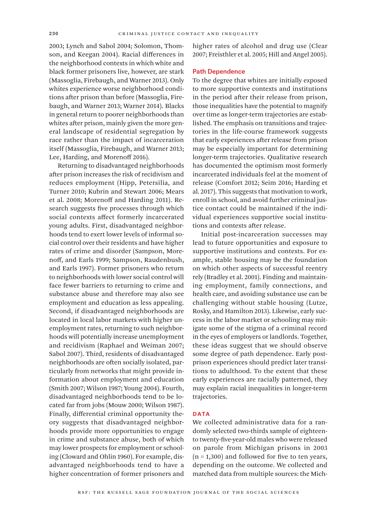2003; Lynch and Sabol 2004; Solomon, Thomson, and Keegan 2004). Racial differences in the neighborhood contexts in which white and black former prisoners live, however, are stark (Massoglia, Firebaugh, and Warner 2013). Only whites experience worse neighborhood conditions after prison than before (Massoglia, Firebaugh, and Warner 2013; Warner 2014). Blacks in general return to poorer neighborhoods than whites after prison, mainly given the more general landscape of residential segregation by race rather than the impact of incarceration itself (Massoglia, Firebaugh, and Warner 2013; Lee, Harding, and Morenoff 2016).

Returning to disadvantaged neighborhoods after prison increases the risk of recidivism and reduces employment (Hipp, Petersilia, and Turner 2010; Kubrin and Stewart 2006; Mears et al. 2008; Morenoff and Harding 2011). Research suggests five processes through which social contexts affect formerly incarcerated young adults. First, disadvantaged neighborhoods tend to exert lower levels of informal social control over their residents and have higher rates of crime and disorder (Sampson, Morenoff, and Earls 1999; Sampson, Raudenbush, and Earls 1997). Former prisoners who return to neighborhoods with lower social control will face fewer barriers to returning to crime and substance abuse and therefore may also see employment and education as less appealing. Second, if disadvantaged neighborhoods are located in local labor markets with higher unemployment rates, returning to such neighborhoods will potentially increase unemployment and recidivism (Raphael and Weiman 2007; Sabol 2007). Third, residents of disadvantaged neighborhoods are often socially isolated, particularly from networks that might provide information about employment and education (Smith 2007; Wilson 1987; Young 2004). Fourth, disadvantaged neighborhoods tend to be located far from jobs (Mouw 2000; Wilson 1987). Finally, differential criminal opportunity theory suggests that disadvantaged neighborhoods provide more opportunities to engage in crime and substance abuse, both of which may lower prospects for employment or schooling (Cloward and Ohlin 1960). For example, disadvantaged neighborhoods tend to have a higher concentration of former prisoners and higher rates of alcohol and drug use (Clear 2007; Freisthler et al. 2005; Hill and Angel 2005).

#### Path Dependence

To the degree that whites are initially exposed to more supportive contexts and institutions in the period after their release from prison, those inequalities have the potential to magnify over time as longer-term trajectories are established. The emphasis on transitions and trajectories in the life-course framework suggests that early experiences after release from prison may be especially important for determining longer-term trajectories. Qualitative research has documented the optimism most formerly incarcerated individuals feel at the moment of release (Comfort 2012; Seim 2016; Harding et al. 2017). This suggests that motivation to work, enroll in school, and avoid further criminal justice contact could be maintained if the individual experiences supportive social institutions and contexts after release.

Initial post-incarceration successes may lead to future opportunities and exposure to supportive institutions and contexts. For example, stable housing may be the foundation on which other aspects of successful reentry rely (Bradley et al. 2001). Finding and maintaining employment, family connections, and health care, and avoiding substance use can be challenging without stable housing (Lutze, Rosky, and Hamilton 2013). Likewise, early success in the labor market or schooling may mitigate some of the stigma of a criminal record in the eyes of employers or landlords. Together, these ideas suggest that we should observe some degree of path dependence. Early postprison experiences should predict later transitions to adulthood. To the extent that these early experiences are racially patterned, they may explain racial inequalities in longer-term trajectories.

#### **DATA**

We collected administrative data for a randomly selected two-thirds sample of eighteento twenty-five-year-old males who were released on parole from Michigan prisons in 2003  $(n = 1,300)$  and followed for five to ten years, depending on the outcome. We collected and matched data from multiple sources: the Mich-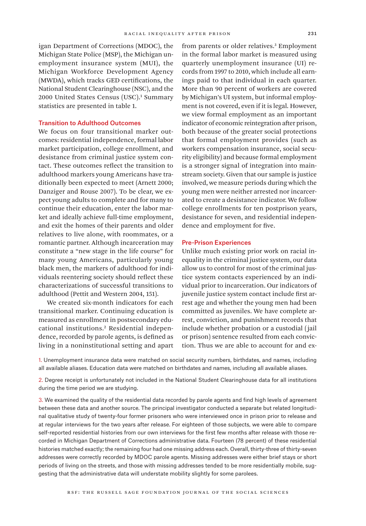igan Department of Corrections (MDOC), the Michigan State Police (MSP), the Michigan unemployment insurance system (MUI), the Michigan Workforce Development Agency (MWDA), which tracks GED certifications, the National Student Clearinghouse (NSC), and the 2000 United States Census (USC).<sup>1</sup> Summary statistics are presented in table 1.

#### Transition to Adulthood Outcomes

We focus on four transitional marker outcomes: residential independence, formal labor market participation, college enrollment, and desistance from criminal justice system contact. These outcomes reflect the transition to adulthood markers young Americans have traditionally been expected to meet (Arnett 2000; Danziger and Rouse 2007). To be clear, we expect young adults to complete and for many to continue their education, enter the labor market and ideally achieve full-time employment, and exit the homes of their parents and older relatives to live alone, with roommates, or a romantic partner. Although incarceration may constitute a "new stage in the life course" for many young Americans, particularly young black men, the markers of adulthood for individuals reentering society should reflect these characterizations of successful transitions to adulthood (Pettit and Western 2004, 151).

We created six-month indicators for each transitional marker. Continuing education is measured as enrollment in postsecondary educational institutions.2 Residential independence, recorded by parole agents, is defined as living in a noninstitutional setting and apart

from parents or older relatives.3 Employment in the formal labor market is measured using quarterly unemployment insurance (UI) records from 1997 to 2010, which include all earnings paid to that individual in each quarter. More than 90 percent of workers are covered by Michigan's UI system, but informal employment is not covered, even if it is legal. However, we view formal employment as an important indicator of economic reintegration after prison, both because of the greater social protections that formal employment provides (such as workers compensation insurance, social security eligibility) and because formal employment is a stronger signal of integration into mainstream society. Given that our sample is justice involved, we measure periods during which the young men were neither arrested nor incarcerated to create a desistance indicator. We follow college enrollments for ten postprison years, desistance for seven, and residential independence and employment for five.

#### Pre-Prison Experiences

Unlike much existing prior work on racial inequality in the criminal justice system, our data allow us to control for most of the criminal justice system contacts experienced by an individual prior to incarceration. Our indicators of juvenile justice system contact include first arrest age and whether the young men had been committed as juveniles. We have complete arrest, conviction, and punishment records that include whether probation or a custodial (jail or prison) sentence resulted from each conviction. Thus we are able to account for and ex-

1. Unemployment insurance data were matched on social security numbers, birthdates, and names, including all available aliases. Education data were matched on birthdates and names, including all available aliases.

2. Degree receipt is unfortunately not included in the National Student Clearinghouse data for all institutions during the time period we are studying.

3. We examined the quality of the residential data recorded by parole agents and find high levels of agreement between these data and another source. The principal investigator conducted a separate but related longitudinal qualitative study of twenty-four former prisoners who were interviewed once in prison prior to release and at regular interviews for the two years after release. For eighteen of those subjects, we were able to compare self-reported residential histories from our own interviews for the first few months after release with those recorded in Michigan Department of Corrections administrative data. Fourteen (78 percent) of these residential histories matched exactly; the remaining four had one missing address each. Overall, thirty-three of thirty-seven addresses were correctly recorded by MDOC parole agents. Missing addresses were either brief stays or short periods of living on the streets, and those with missing addresses tended to be more residentially mobile, suggesting that the administrative data will understate mobility slightly for some parolees.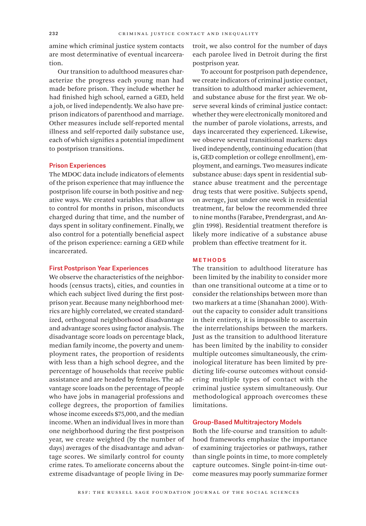amine which criminal justice system contacts are most determinative of eventual incarceration.

Our transition to adulthood measures characterize the progress each young man had made before prison. They include whether he had finished high school, earned a GED, held a job, or lived independently. We also have preprison indicators of parenthood and marriage. Other measures include self-reported mental illness and self-reported daily substance use, each of which signifies a potential impediment to postprison transitions.

#### Prison Experiences

The MDOC data include indicators of elements of the prison experience that may influence the postprison life course in both positive and negative ways. We created variables that allow us to control for months in prison, misconducts charged during that time, and the number of days spent in solitary confinement. Finally, we also control for a potentially beneficial aspect of the prison experience: earning a GED while incarcerated.

#### First Postprison Year Experiences

We observe the characteristics of the neighborhoods (census tracts), cities, and counties in which each subject lived during the first postprison year. Because many neighborhood metrics are highly correlated, we created standardized, orthogonal neighborhood disadvantage and advantage scores using factor analysis. The disadvantage score loads on percentage black, median family income, the poverty and unemployment rates, the proportion of residents with less than a high school degree, and the percentage of households that receive public assistance and are headed by females. The advantage score loads on the percentage of people who have jobs in managerial professions and college degrees, the proportion of families whose income exceeds \$75,000, and the median income. When an individual lives in more than one neighborhood during the first postprison year, we create weighted (by the number of days) averages of the disadvantage and advantage scores. We similarly control for county crime rates. To ameliorate concerns about the extreme disadvantage of people living in Detroit, we also control for the number of days each parolee lived in Detroit during the first postprison year.

To account for postprison path dependence, we create indicators of criminal justice contact, transition to adulthood marker achievement, and substance abuse for the first year. We observe several kinds of criminal justice contact: whether they were electronically monitored and the number of parole violations, arrests, and days incarcerated they experienced. Likewise, we observe several transitional markers: days lived independently, continuing education (that is, GED completion or college enrollment), employment, and earnings. Two measures indicate substance abuse: days spent in residential substance abuse treatment and the percentage drug tests that were positive. Subjects spend, on average, just under one week in residential treatment, far below the recommended three to nine months (Farabee, Prendergrast, and Anglin 1998). Residential treatment therefore is likely more indicative of a substance abuse problem than effective treatment for it.

# Methods

The transition to adulthood literature has been limited by the inability to consider more than one transitional outcome at a time or to consider the relationships between more than two markers at a time (Shanahan 2000). Without the capacity to consider adult transitions in their entirety, it is impossible to ascertain the interrelationships between the markers. Just as the transition to adulthood literature has been limited by the inability to consider multiple outcomes simultaneously, the criminological literature has been limited by predicting life-course outcomes without considering multiple types of contact with the criminal justice system simultaneously. Our methodological approach overcomes these limitations.

#### Group-Based Multitrajectory Models

Both the life-course and transition to adulthood frameworks emphasize the importance of examining trajectories or pathways, rather than single points in time, to more completely capture outcomes. Single point-in-time outcome measures may poorly summarize former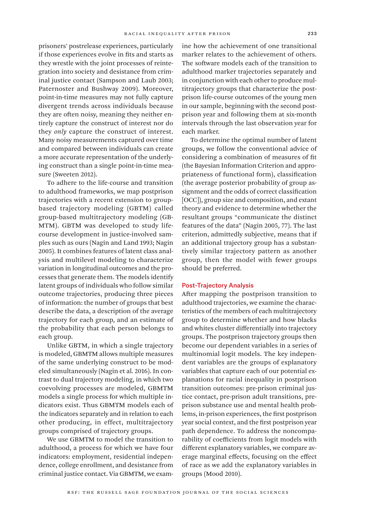prisoners' postrelease experiences, particularly if those experiences evolve in fits and starts as they wrestle with the joint processes of reintegration into society and desistance from criminal justice contact (Sampson and Laub 2003; Paternoster and Bushway 2009). Moreover, point-in-time measures may not fully capture divergent trends across individuals because they are often noisy, meaning they neither entirely capture the construct of interest nor do they *only* capture the construct of interest. Many noisy measurements captured over time and compared between individuals can create a more accurate representation of the underlying construct than a single point-in-time measure (Sweeten 2012).

To adhere to the life-course and transition to adulthood frameworks, we map postprison trajectories with a recent extension to groupbased trajectory modeling (GBTM) called group-based multitrajectory modeling (GB-MTM). GBTM was developed to study lifecourse development in justice-involved samples such as ours (Nagin and Land 1993; Nagin 2005). It combines features of latent class analysis and multilevel modeling to characterize variation in longitudinal outcomes and the processes that generate them. The models identify latent groups of individuals who follow similar outcome trajectories, producing three pieces of information: the number of groups that best describe the data, a description of the average trajectory for each group, and an estimate of the probability that each person belongs to each group.

Unlike GBTM, in which a single trajectory is modeled, GBMTM allows multiple measures of the same underlying construct to be modeled simultaneously (Nagin et al. 2016). In contrast to dual trajectory modeling, in which two coevolving processes are modeled, GBMTM models a single process for which multiple indicators exist. Thus GBMTM models each of the indicators separately and in relation to each other producing, in effect, multitrajectory groups comprised of trajectory groups.

We use GBMTM to model the transition to adulthood, a process for which we have four indicators: employment, residential independence, college enrollment, and desistance from criminal justice contact. Via GBMTM, we examine how the achievement of one transitional marker relates to the achievement of others. The software models each of the transition to adulthood marker trajectories separately and in conjunction with each other to produce multitrajectory groups that characterize the postprison life-course outcomes of the young men in our sample, beginning with the second postprison year and following them at six-month intervals through the last observation year for each marker.

To determine the optimal number of latent groups, we follow the conventional advice of considering a combination of measures of fit (the Bayesian Information Criterion and appropriateness of functional form), classification (the average posterior probability of group assignment and the odds of correct classification [OCC]), group size and composition, and extant theory and evidence to determine whether the resultant groups "communicate the distinct features of the data" (Nagin 2005, 77). The last criterion, admittedly subjective, means that if an additional trajectory group has a substantively similar trajectory pattern as another group, then the model with fewer groups should be preferred.

#### Post-Trajectory Analysis

After mapping the postprison transition to adulthood trajectories, we examine the characteristics of the members of each multitrajectory group to determine whether and how blacks and whites cluster differentially into trajectory groups. The postprison trajectory groups then become our dependent variables in a series of multinomial logit models. The key independent variables are the groups of explanatory variables that capture each of our potential explanations for racial inequality in postprison transition outcomes: pre-prison criminal justice contact, pre-prison adult transitions, preprison substance use and mental health problems, in-prison experiences, the first postprison year social context, and the first postprison year path dependence. To address the noncomparability of coefficients from logit models with different explanatory variables, we compare average marginal effects, focusing on the effect of race as we add the explanatory variables in groups (Mood 2010).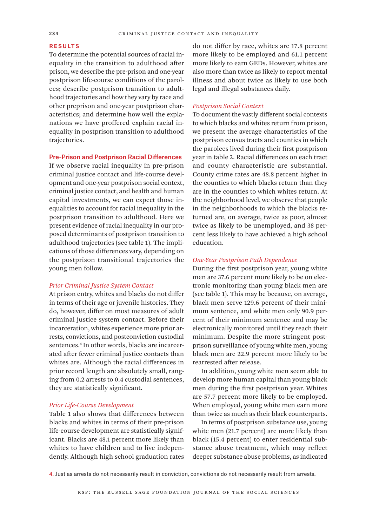#### **RESULTS**

To determine the potential sources of racial inequality in the transition to adulthood after prison, we describe the pre-prison and one-year postprison life-course conditions of the parolees; describe postprison transition to adulthood trajectories and how they vary by race and other preprison and one-year postprison characteristics; and determine how well the explanations we have proffered explain racial inequality in postprison transition to adulthood trajectories.

#### Pre-Prison and Postprison Racial Differences

If we observe racial inequality in pre-prison criminal justice contact and life-course development and one-year postprison social context, criminal justice contact, and health and human capital investments, we can expect those inequalities to account for racial inequality in the postprison transition to adulthood. Here we present evidence of racial inequality in our proposed determinants of postprison transition to adulthood trajectories (see table 1). The implications of those differences vary, depending on the postprison transitional trajectories the young men follow.

#### *Prior Criminal Justice System Contact*

At prison entry, whites and blacks do not differ in terms of their age or juvenile histories. They do, however, differ on most measures of adult criminal justice system contact. Before their incarceration, whites experience more prior arrests, convictions, and postconviction custodial sentences.4 In other words, blacks are incarcerated after fewer criminal justice contacts than whites are. Although the racial differences in prior record length are absolutely small, ranging from 0.2 arrests to 0.4 custodial sentences, they are statistically significant.

#### *Prior Life-Course Development*

Table 1 also shows that differences between blacks and whites in terms of their pre-prison life-course development are statistically significant. Blacks are 48.1 percent more likely than whites to have children and to live independently. Although high school graduation rates

do not differ by race, whites are 17.8 percent more likely to be employed and 61.1 percent more likely to earn GEDs. However, whites are also more than twice as likely to report mental illness and about twice as likely to use both legal and illegal substances daily.

#### *Postprison Social Context*

To document the vastly different social contexts to which blacks and whites return from prison, we present the average characteristics of the postprison census tracts and counties in which the parolees lived during their first postprison year in table 2. Racial differences on each tract and county characteristic are substantial. County crime rates are 48.8 percent higher in the counties to which blacks return than they are in the counties to which whites return. At the neighborhood level, we observe that people in the neighborhoods to which the blacks returned are, on average, twice as poor, almost twice as likely to be unemployed, and 38 percent less likely to have achieved a high school education.

#### *One-Year Postprison Path Dependence*

During the first postprison year, young white men are 37.6 percent more likely to be on electronic monitoring than young black men are (see table 1). This may be because, on average, black men serve 129.6 percent of their minimum sentence, and white men only 90.9 percent of their minimum sentence and may be electronically monitored until they reach their minimum. Despite the more stringent postprison surveillance of young white men, young black men are 22.9 percent more likely to be rearrested after release.

In addition, young white men seem able to develop more human capital than young black men during the first postprison year. Whites are 57.7 percent more likely to be employed. When employed, young white men earn more than twice as much as their black counterparts.

In terms of postprison substance use, young white men (21.7 percent) are more likely than black (15.4 percent) to enter residential substance abuse treatment, which may reflect deeper substance abuse problems, as indicated

4. Just as arrests do not necessarily result in conviction, convictions do not necessarily result from arrests.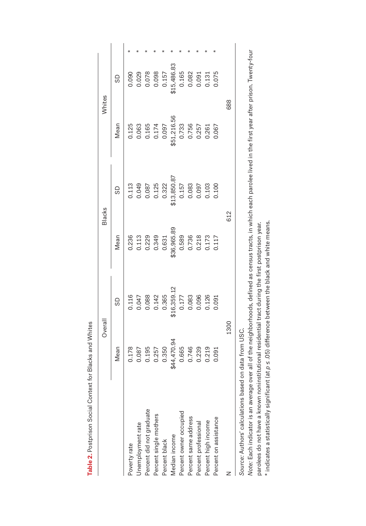|                                                       | Overall        |                                           |                                            | <b>Blacks</b>                             | Whites |                                            |  |
|-------------------------------------------------------|----------------|-------------------------------------------|--------------------------------------------|-------------------------------------------|--------|--------------------------------------------|--|
|                                                       | Mean           | GD                                        | Mean                                       | SD                                        | Mean   | 9                                          |  |
| Poverty rate                                          |                |                                           |                                            |                                           |        |                                            |  |
| Jnemployment rate                                     | 0.178<br>0.087 | 0.116<br>0.047<br>0.088<br>0.000<br>0.000 | $0.236$ $0.113$ $0.0349$ $0.0343$ $0.0631$ | 0.113<br>0.049<br>0.087<br>0.125<br>0.322 |        | 0.090<br>0.029<br>0.038<br>0.0957<br>0.157 |  |
| Percent did not graduate                              |                |                                           |                                            |                                           |        |                                            |  |
| Percent single mothers                                | 0.195<br>0.257 |                                           |                                            |                                           |        |                                            |  |
| Percent black                                         | 0.350          |                                           |                                            |                                           |        |                                            |  |
| Median income                                         | \$44,470.94    | \$16,359.12                               | \$36,965.89                                | \$13,850.87                               |        | \$15,486.83                                |  |
| Percent owner occupied                                | 0.665          |                                           |                                            |                                           |        |                                            |  |
| Percent same address                                  |                |                                           |                                            |                                           |        |                                            |  |
| Percent professional                                  | 0.746<br>0.239 |                                           |                                            |                                           |        |                                            |  |
| Percent high income                                   | 0.219          | 0.177<br>0.083<br>0.096<br>0.126          | 0.589<br>0.736<br>0.218<br>0.173<br>0.117  | 0.157<br>0.083<br>0.097<br>0.103<br>0.100 |        | 0.165<br>0.082<br>0.091<br>0.075           |  |
| Percent on assistance                                 | 0.091          | 0.091                                     |                                            |                                           |        |                                            |  |
|                                                       |                | 1300                                      |                                            | 612                                       | 688    |                                            |  |
| Source: Authors' calculations based on data from USC. |                |                                           |                                            |                                           |        |                                            |  |

Table 2. Postprison Social Context for Blacks and Whites **Table 2.** Postprison Social Context for Blacks and Whites

*Note:* Each indicator is an average over all of the neighborhoods, defined as census tracts, in which each parolee lived in the first year after prison. Twenty-four Note: Each indicator is an average over all of the neighborhoods, defined as census tracts, in which each parolee lived in the first year after prison. Twenty-four parolees do not have a known noninstitutional residential tract during the first postprison year. parolees do not have a known noninstitutional residential tract during the first postprison year.

 $*$  indicates a statistically significant (at  $p \leq .05$ ) difference between the black and white means. \* indicates a statistically significant (at *p* ≤ .05) difference between the black and white means.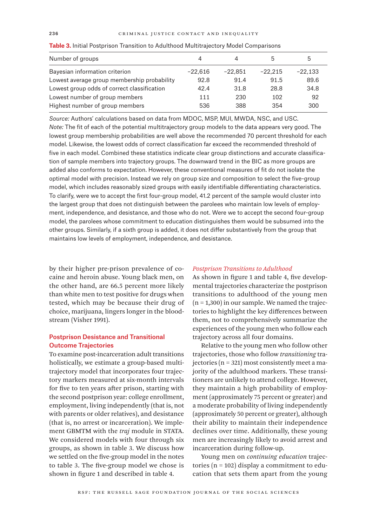| Number of groups                            | 4         | 4         | 5         | 5         |
|---------------------------------------------|-----------|-----------|-----------|-----------|
| Bayesian information criterion              | $-22.616$ | $-22.851$ | $-22.215$ | $-22.133$ |
| Lowest average group membership probability | 92.8      | 91.4      | 91.5      | 89.6      |
| Lowest group odds of correct classification | 42.4      | 31.8      | 28.8      | 34.8      |
| Lowest number of group members              | 111       | 230       | 102       | 92        |
| Highest number of group members             | 536       | 388       | 354       | 300       |

| <b>Table 3.</b> Initial Postprison Transition to Adulthood Multitrajectory Model Comparisons |  |  |  |  |  |
|----------------------------------------------------------------------------------------------|--|--|--|--|--|
|----------------------------------------------------------------------------------------------|--|--|--|--|--|

*Source:* Authors' calculations based on data from MDOC, MSP, MUI, MWDA, NSC, and USC. *Note:* The fit of each of the potential multitrajectory group models to the data appears very good. The lowest group membership probabilities are well above the recommended 70 percent threshold for each model. Likewise, the lowest odds of correct classification far exceed the recommended threshold of five in each model. Combined these statistics indicate clear group distinctions and accurate classification of sample members into trajectory groups. The downward trend in the BIC as more groups are added also conforms to expectation. However, these conventional measures of fit do not isolate the optimal model with precision. Instead we rely on group size and composition to select the five-group model, which includes reasonably sized groups with easily identifiable differentiating characteristics. To clarify, were we to accept the first four-group model, 41.2 percent of the sample would cluster into the largest group that does not distinguish between the parolees who maintain low levels of employment, independence, and desistance, and those who do not. Were we to accept the second four-group model, the parolees whose commitment to education distinguishes them would be subsumed into the other groups. Similarly, if a sixth group is added, it does not differ substantively from the group that maintains low levels of employment, independence, and desistance.

by their higher pre-prison prevalence of cocaine and heroin abuse. Young black men, on the other hand, are 66.5 percent more likely than white men to test positive for drugs when tested, which may be because their drug of choice, marijuana, lingers longer in the bloodstream (Visher 1991).

# Postprison Desistance and Transitional Outcome Trajectories

To examine post-incarceration adult transitions holistically, we estimate a group-based multitrajectory model that incorporates four trajectory markers measured at six-month intervals for five to ten years after prison, starting with the second postprison year: college enrollment, employment, living independently (that is, not with parents or older relatives), and desistance (that is, no arrest or incarceration). We implement GBMTM with the *traj* module in STATA. We considered models with four through six groups, as shown in table 3. We discuss how we settled on the five-group model in the notes to table 3. The five-group model we chose is shown in figure 1 and described in table 4.

#### *Postprison Transitions to Adulthood*

As shown in figure 1 and table 4, five developmental trajectories characterize the postprison transitions to adulthood of the young men  $(n = 1,300)$  in our sample. We named the trajectories to highlight the key differences between them, not to comprehensively summarize the experiences of the young men who follow each trajectory across all four domains.

Relative to the young men who follow other trajectories, those who follow *transitioning* trajectories ( $n = 321$ ) most consistently meet a majority of the adulthood markers. These transitioners are unlikely to attend college. However, they maintain a high probability of employment (approximately 75 percent or greater) and a moderate probability of living independently (approximately 50 percent or greater), although their ability to maintain their independence declines over time. Additionally, these young men are increasingly likely to avoid arrest and incarceration during follow-up.

Young men on *continuing education* trajectories ( $n = 102$ ) display a commitment to education that sets them apart from the young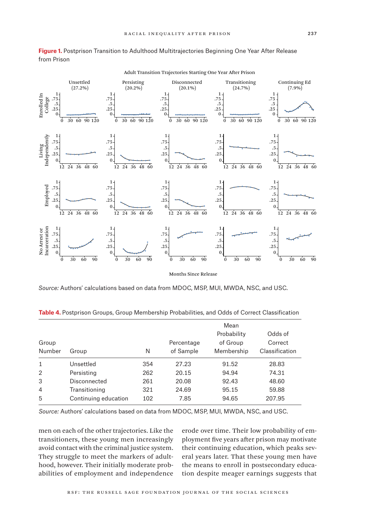

**Figure 1.** Postprison Transition to Adulthood Multitrajectories Beginning One Year After Release from Prison

Months Since Release

| Group<br>Number | Group                | N   | Percentage<br>of Sample | Mean<br>Probability<br>of Group<br>Membership | Odds of<br>Correct<br>Classification |
|-----------------|----------------------|-----|-------------------------|-----------------------------------------------|--------------------------------------|
| 1               | Unsettled            | 354 | 27.23                   | 91.52                                         | 28.83                                |
| 2               | Persisting           | 262 | 20.15                   | 94.94                                         | 74.31                                |
| 3               | Disconnected         | 261 | 20.08                   | 92.43                                         | 48.60                                |
| $\overline{4}$  | Transitioning        | 321 | 24.69                   | 95.15                                         | 59.88                                |
| 5               | Continuing education | 102 | 7.85                    | 94.65                                         | 207.95                               |

**Table 4.** Postprison Groups, Group Membership Probabilities, and Odds of Correct Classification

*Source:* Authors' calculations based on data from MDOC, MSP, MUI, MWDA, NSC, and USC.

men on each of the other trajectories. Like the transitioners, these young men increasingly avoid contact with the criminal justice system. They struggle to meet the markers of adulthood, however. Their initially moderate probabilities of employment and independence erode over time. Their low probability of employment five years after prison may motivate their continuing education, which peaks several years later. That these young men have the means to enroll in postsecondary education despite meager earnings suggests that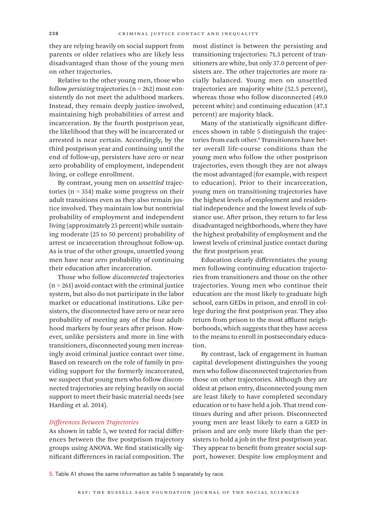they are relying heavily on social support from parents or older relatives who are likely less disadvantaged than those of the young men on other trajectories.

Relative to the other young men, those who follow *persisting* trajectories (n = 262) most consistently do not meet the adulthood markers. Instead, they remain deeply justice-involved, maintaining high probabilities of arrest and incarceration. By the fourth postprison year, the likelihood that they will be incarcerated or arrested is near certain. Accordingly, by the third postprison year and continuing until the end of follow-up, persisters have zero or near zero probability of employment, independent living, or college enrollment.

By contrast, young men on *unsettled* trajectories ( $n = 354$ ) make some progress on their adult transitions even as they also remain justice involved. They maintain low but nontrivial probability of employment and independent living (approximately 25 percent) while sustaining moderate (25 to 50 percent) probability of arrest or incarceration throughout follow-up. As is true of the other groups, unsettled young men have near zero probability of continuing their education after incarceration.

Those who follow *disconnected* trajectories  $(n = 261)$  avoid contact with the criminal justice system, but also do not participate in the labor market or educational institutions. Like persisters, the disconnected have zero or near zero probability of meeting any of the four adulthood markers by four years after prison. However, unlike persisters and more in line with transitioners, disconnected young men increasingly avoid criminal justice contact over time. Based on research on the role of family in providing support for the formerly incarcerated, we suspect that young men who follow disconnected trajectories are relying heavily on social support to meet their basic material needs (see Harding et al. 2014).

#### *Differences Between Trajectories*

As shown in table 5, we tested for racial differences between the five postprison trajectory groups using ANOVA. We find statistically significant differences in racial composition. The most distinct is between the persisting and transitioning trajectories: 71.3 percent of transitioners are white, but only 37.0 percent of persisters are. The other trajectories are more racially balanced. Young men on unsettled trajectories are majority white (52.5 percent), whereas those who follow disconnected (49.0 percent white) and continuing education (47.1 percent) are majority black.

Many of the statistically significant differences shown in table 5 distinguish the trajectories from each other.<sup>5</sup> Transitioners have better overall life-course conditions than the young men who follow the other postprison trajectories, even though they are not always the most advantaged (for example, with respect to education). Prior to their incarceration, young men on transitioning trajectories have the highest levels of employment and residential independence and the lowest levels of substance use. After prison, they return to far less disadvantaged neighborhoods, where they have the highest probability of employment and the lowest levels of criminal justice contact during the first postprison year.

Education clearly differentiates the young men following continuing education trajectories from transitioners and those on the other trajectories. Young men who continue their education are the most likely to graduate high school, earn GEDs in prison, and enroll in college during the first postprison year. They also return from prison to the most affluent neighborhoods, which suggests that they have access to the means to enroll in postsecondary education.

By contrast, lack of engagement in human capital development distinguishes the young men who follow disconnected trajectories from those on other trajectories. Although they are oldest at prison entry, disconnected young men are least likely to have completed secondary education or to have held a job. That trend continues during and after prison. Disconnected young men are least likely to earn a GED in prison and are only more likely than the persisters to hold a job in the first postprison year. They appear to benefit from greater social support, however. Despite low employment and

5. Table A1 shows the same information as table 5 separately by race.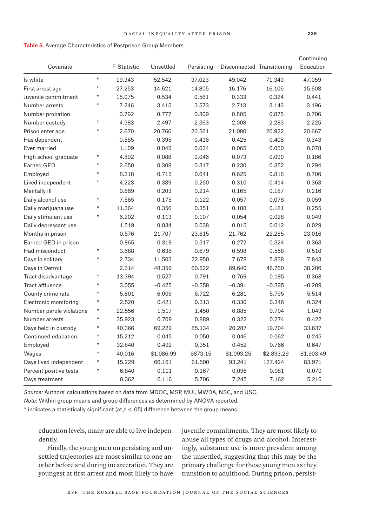| <b>Table 5.</b> Average Characteristics of Postprison Group Members |  |  |  |  |  |  |
|---------------------------------------------------------------------|--|--|--|--|--|--|
|---------------------------------------------------------------------|--|--|--|--|--|--|

| Covariate                |          | F-Statistic | Unsettled  | Persisting | Disconnected Transitioning |            | Continuing<br>Education |
|--------------------------|----------|-------------|------------|------------|----------------------------|------------|-------------------------|
|                          | $\star$  |             |            |            |                            |            |                         |
| Is white                 | $\star$  | 19.343      | 52.542     | 37.023     | 49.042                     | 71.340     | 47.059                  |
| First arrest age         | $\star$  | 27.253      | 14.621     | 14.805     | 16.176                     | 16.106     | 15.608                  |
| Juvenile commitment      | $\star$  | 15.075      | 0.534      | 0.561      | 0.333                      | 0.324      | 0.441                   |
| Number arrests           |          | 7.246       | 3.415      | 3.573      | 2.713                      | 3.146      | 3.196                   |
| Number probation         | $\star$  | 0.792       | 0.777      | 0.809      | 0.805                      | 0.875      | 0.706                   |
| Number custody           |          | 4.383       | 2.497      | 2.363      | 2.008                      | 2.283      | 2.225                   |
| Prison enter age         | $\star$  | 2.670       | 20.766     | 20.561     | 21.080                     | 20.922     | 20.667                  |
| Has dependent            |          | 0.585       | 0.395      | 0.416      | 0.425                      | 0.408      | 0.343                   |
| Ever married             |          | 1.109       | 0.045      | 0.034      | 0.065                      | 0.050      | 0.078                   |
| High school graduate     | $\star$  | 4.892       | 0.088      | 0.046      | 0.073                      | 0.090      | 0.186                   |
| <b>Earned GED</b>        | $\star$  | 2.650       | 0.308      | 0.317      | 0.230                      | 0.352      | 0.294                   |
| Employed                 | $\star$  | 8.318       | 0.715      | 0.641      | 0.625                      | 0.816      | 0.706                   |
| Lived independent        | $^\star$ | 4.223       | 0.339      | 0.260      | 0.310                      | 0.414      | 0.363                   |
| Mentally ill             |          | 0.669       | 0.203      | 0.214      | 0.165                      | 0.187      | 0.216                   |
| Daily alcohol use        | $\star$  | 7.565       | 0.175      | 0.122      | 0.057                      | 0.078      | 0.059                   |
| Daily marijuana use      | $^\star$ | 11.364      | 0.356      | 0.351      | 0.188                      | 0.181      | 0.255                   |
| Daily stimulant use      | $\star$  | 6.202       | 0.113      | 0.107      | 0.054                      | 0.028      | 0.049                   |
| Daily depressant use     |          | 1.519       | 0.034      | 0.038      | 0.015                      | 0.012      | 0.029                   |
| Months in prison         |          | 0.576       | 21.707     | 23.815     | 21.762                     | 22.285     | 23.016                  |
| Earned GED in prison     |          | 0.865       | 0.319      | 0.317      | 0.272                      | 0.324      | 0.363                   |
| Had misconduct           | $\star$  | 3.688       | 0.638      | 0.679      | 0.598                      | 0.558      | 0.510                   |
| Days in solitary         | $\star$  | 2.734       | 11.503     | 22.950     | 7.678                      | 5.838      | 7.843                   |
| Days in Detroit          |          | 2.314       | 48.359     | 60.622     | 69.640                     | 46.760     | 38.206                  |
| Tract disadvantage       | $\star$  | 13.394      | 0.527      | 0.791      | 0.769                      | 0.185      | 0.368                   |
| <b>Tract affluence</b>   | $^\star$ | 3.055       | $-0.425$   | $-0.358$   | $-0.391$                   | $-0.395$   | $-0.209$                |
| County crime rate        | $\star$  | 5.801       | 6.009      | 6.722      | 6.281                      | 5.795      | 5.514                   |
| Electronic monitoring    | $\star$  | 2.520       | 0.421      | 0.313      | 0.330                      | 0.346      | 0.324                   |
| Number parole violations | $\star$  | 22.556      | 1.517      | 1.450      | 0.885                      | 0.704      | 1.049                   |
| Number arrests           | $\star$  | 35.923      | 0.709      | 0.889      | 0.322                      | 0.274      | 0.422                   |
| Days held in custody     | $^\star$ | 40.366      | 69.229     | 85.134     | 20.287                     | 19.704     | 33.637                  |
| Continued education      | $^\star$ | 15.212      | 0.045      | 0.050      | 0.046                      | 0.062      | 0.245                   |
| Employed                 | $\star$  | 32.840      | 0.492      | 0.351      | 0.452                      | 0.766      | 0.647                   |
| Wages                    | $\star$  | 40.016      | \$1,086.99 | \$873.15   | \$1,093.25                 | \$2,893.29 | \$1,903.49              |
| Days lived independent   | $\star$  | 15.229      | 66.161     | 61.500     | 93.241                     | 127.424    | 83.971                  |
| Percent positive tests   | $\star$  | 6.840       | 0.111      | 0.167      | 0.096                      | 0.081      | 0.070                   |
| Days treatment           |          | 0.362       | 6.116      | 5.706      | 7.245                      | 7.162      | 5.216                   |

*Source:* Authors' calculations based on data from MDOC, MSP, MUI, MWDA, NSC, and USC.

*Note:* Within group means and group differences as determined by ANOVA reported.

\* indicates a statistically significant (at *p* ≤ .05) difference between the group means.

education levels, many are able to live independently.

Finally, the young men on persisting and unsettled trajectories are most similar to one another before and during incarceration. They are youngest at first arrest and most likely to have

juvenile commitments. They are most likely to abuse all types of drugs and alcohol. Interestingly, substance use is more prevalent among the unsettled, suggesting that this may be the primary challenge for these young men as they transition to adulthood. During prison, persist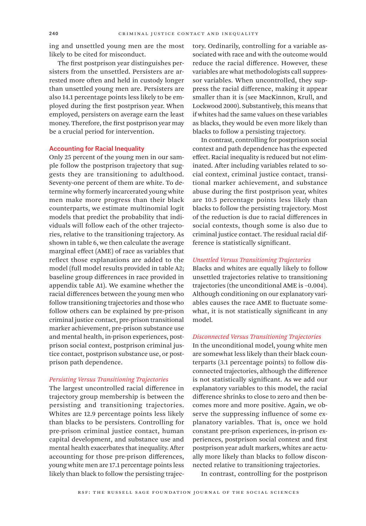ing and unsettled young men are the most likely to be cited for misconduct.

The first postprison year distinguishes persisters from the unsettled. Persisters are arrested more often and held in custody longer than unsettled young men are. Persisters are also 14.1 percentage points less likely to be employed during the first postprison year. When employed, persisters on average earn the least money. Therefore, the first postprison year may be a crucial period for intervention.

#### Accounting for Racial Inequality

Only 25 percent of the young men in our sample follow the postprison trajectory that suggests they are transitioning to adulthood. Seventy-one percent of them are white. To determine why formerly incarcerated young white men make more progress than their black counterparts, we estimate multinomial logit models that predict the probability that individuals will follow each of the other trajectories, relative to the transitioning trajectory. As shown in table 6, we then calculate the average marginal effect (AME) of race as variables that reflect those explanations are added to the model (full model results provided in table A2; baseline group differences in race provided in appendix table A1). We examine whether the racial differences between the young men who follow transitioning trajectories and those who follow others can be explained by pre-prison criminal justice contact, pre-prison transitional marker achievement, pre-prison substance use and mental health, in-prison experiences, postprison social context, postprison criminal justice contact, postprison substance use, or postprison path dependence.

#### *Persisting Versus Transitioning Trajectories*

The largest uncontrolled racial difference in trajectory group membership is between the persisting and transitioning trajectories. Whites are 12.9 percentage points less likely than blacks to be persisters. Controlling for pre-prison criminal justice contact, human capital development, and substance use and mental health exacerbates that inequality. After accounting for those pre-prison differences, young white men are 17.1 percentage points less likely than black to follow the persisting trajectory. Ordinarily, controlling for a variable associated with race and with the outcome would reduce the racial difference. However, these variables are what methodologists call suppressor variables. When uncontrolled, they suppress the racial difference, making it appear smaller than it is (see MacKinnon, Krull, and Lockwood 2000). Substantively, this means that if whites had the same values on these variables as blacks, they would be even more likely than blacks to follow a persisting trajectory.

In contrast, controlling for postprison social context and path dependence has the expected effect. Racial inequality is reduced but not eliminated. After including variables related to social context, criminal justice contact, transitional marker achievement, and substance abuse during the first postprison year, whites are 10.5 percentage points less likely than blacks to follow the persisting trajectory. Most of the reduction is due to racial differences in social contexts, though some is also due to criminal justice contact. The residual racial difference is statistically significant.

#### *Unsettled Versus Transitioning Trajectories*

Blacks and whites are equally likely to follow unsettled trajectories relative to transitioning trajectories (the unconditional AME is –0.004). Although conditioning on our explanatory variables causes the race AME to fluctuate somewhat, it is not statistically significant in any model.

#### *Disconnected Versus Transitioning Trajectories*

In the unconditional model, young white men are somewhat less likely than their black counterparts (3.1 percentage points) to follow disconnected trajectories, although the difference is not statistically significant. As we add our explanatory variables to this model, the racial difference shrinks to close to zero and then becomes more and more positive. Again, we observe the suppressing influence of some explanatory variables. That is, once we hold constant pre-prison experiences, in-prison experiences, postprison social context and first postprison year adult markers, whites are actually more likely than blacks to follow disconnected relative to transitioning trajectories.

In contrast, controlling for the postprison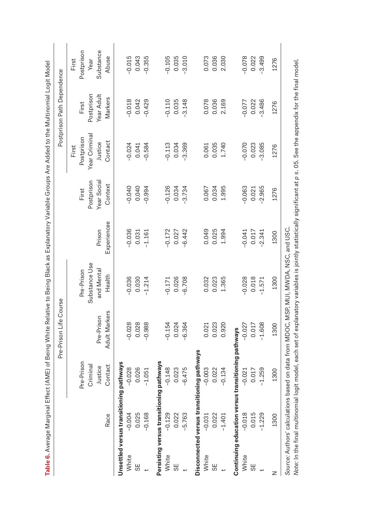|       |                                                     |                                            | Pre-Prison Life Course      |                                                                                      |                       |                        |                                      | Postprison Path Dependence          |                            |
|-------|-----------------------------------------------------|--------------------------------------------|-----------------------------|--------------------------------------------------------------------------------------|-----------------------|------------------------|--------------------------------------|-------------------------------------|----------------------------|
|       |                                                     | Pre-Prison<br>Criminal                     |                             | Substance Use<br>Pre-Prison                                                          |                       | Postprison<br>First    | Year Criminal<br>Postprison<br>First | First                               | Postprison<br>First        |
|       | Race                                                | Contact<br>Justice                         | Adult Markers<br>Pre-Prison | and Mental<br>Health                                                                 | Experiencee<br>Prison | Year Social<br>Context | Contact<br>Justice                   | Postprison<br>Year Adult<br>Markers | Substance<br>Abuse<br>Year |
| White | Unsettled versus transitioning pathways<br>$-0.004$ | $-0.028$                                   | $-0.028$                    | $-0.036$                                                                             | $-0.036$              | $-0.040$               | $-0.024$                             | $-0.018$                            | $-0.015$                   |
| 55    | 0.025                                               | 0.026                                      | 0.028                       | 0.030                                                                                | 0.031                 | 0.040                  | 0.041                                | 0.042                               | 0.043                      |
|       | $-0.168$                                            | $-1.051$                                   | $-0.988$                    | $-1.214$                                                                             | $-1.161$              | $-0.994$               | $-0.584$                             | $-0.429$                            | $-0.355$                   |
|       | Persisting versus transitioning pathways            |                                            |                             |                                                                                      |                       |                        |                                      |                                     |                            |
| White | $-0.129$                                            | $-0.148$                                   | $-0.154$                    | $-0.171$                                                                             | $-0.172$              | $-0.126$               | $-0.113$                             | $-0.110$                            | $-0.105$                   |
| 58    | 0.022                                               | 0.023                                      | 0.024                       | 0.026                                                                                | 0.027                 | 0.034                  | 0.034                                | 0.035                               | 0.035                      |
|       | $-5.763$                                            | $-6.475$                                   | $-6.364$                    | $-6.708$                                                                             | $-6.442$              | $-3.734$               | $-3.369$                             | $-3.148$                            | $-3.010$                   |
|       |                                                     | Disconnected versus transitioning pathways |                             |                                                                                      |                       |                        |                                      |                                     |                            |
| White | $-0.031$                                            | $-0.003$                                   | 0.021                       | 0.032                                                                                | 0.049                 | 0.067                  | 0.061                                | 0.078                               | 0.073                      |
| 58    | 0.022                                               | 0.022                                      | 0.023                       | 0.023                                                                                | 0.025                 | 0.034                  | 0.035                                | 0.036                               | 0.036                      |
|       | $-1.401$                                            | $-0.134$                                   | 0.920                       | 1.365                                                                                | 1.994                 | 1.995                  | 1.740                                | 2.169                               | 2.030                      |
|       | Continuing education versus transitionin            |                                            | g pathways                  |                                                                                      |                       |                        |                                      |                                     |                            |
| White | $-0.018$                                            | $-0.021$                                   | $-0.027$                    | $-0.028$                                                                             | $-0.041$              | $-0.063$               | $-0.070$                             | $-0.077$                            | $-0.078$                   |
| 55    | 0.015                                               | 0.017                                      | 0.017                       | 0.018                                                                                | 0.017                 | 0.021                  | 0.023                                | 0.022                               | 0.022                      |
|       | $-1.229$                                            | $-1.259$                                   | $-1.608$                    | $-1.571$                                                                             | $-2.341$              | $-2.965$               | $-3.085$                             | $-3.486$                            | $-3.499$                   |
| z     | 1300                                                | 1300                                       | 1300                        | 1300                                                                                 | 1300                  | 1276                   | 1276                                 | 1276                                | 1276                       |
|       |                                                     |                                            |                             | Source: Authors' calculations based on data from MDOC, MSP, MUI, MWDA, NSC, and USC. |                       |                        |                                      |                                     |                            |

 $1$  or  $1$  or  $1$   $1$  or  $1$ **Table 6.** Average Marginal Effect (AME) of Being White Relative to Being Black as Explanatory Variable Groups Are Added to the Multinomial Logit Model  $M_{\rm H}$  $+1$ م**+** اممامار  $\ddot{\cdot}$ Variable Cr Ĥ  $\frac{1}{2}$ Ĺ, ź  $\frac{1}{\alpha}$ Boin  $\ddot{\phantom{0}}$ White Relativ  $\sim$  (AME) of Boing  $\overline{1}$  E<sub>4</sub>  $\cdot$ : ś  $T_0$  kin  $c \wedge$ 

Note: In the final multinomial logit model, each set of explanatory variables is jointly statistically significant at p ≤. 05. See the appendix for the final model. *Note:* In the final multinomial logit model, each set of explanatory variables is jointly statistically significant at *p* ≤. 05. See the appendix for the final model.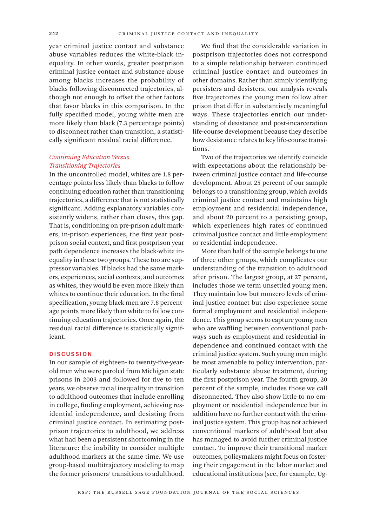year criminal justice contact and substance abuse variables reduces the white-black inequality. In other words, greater postprison criminal justice contact and substance abuse among blacks increases the probability of blacks following disconnected trajectories, although not enough to offset the other factors that favor blacks in this comparison. In the fully specified model, young white men are more likely than black (7.3 percentage points) to disconnect rather than transition, a statistically significant residual racial difference.

# *Continuing Education Versus Transitioning Trajectories*

In the uncontrolled model, whites are 1.8 percentage points less likely than blacks to follow continuing education rather than transitioning trajectories, a difference that is not statistically significant. Adding explanatory variables consistently widens, rather than closes, this gap. That is, conditioning on pre-prison adult markers, in-prison experiences, the first year postprison social context, and first postprison year path dependence increases the black-white inequality in these two groups. These too are suppressor variables. If blacks had the same markers, experiences, social contexts, and outcomes as whites, they would be even more likely than whites to continue their education. In the final specification, young black men are 7.8 percentage points more likely than white to follow continuing education trajectories. Once again, the residual racial difference is statistically significant.

#### **DISCUSSION**

In our sample of eighteen- to twenty-five-yearold men who were paroled from Michigan state prisons in 2003 and followed for five to ten years, we observe racial inequality in transition to adulthood outcomes that include enrolling in college, finding employment, achieving residential independence, and desisting from criminal justice contact. In estimating postprison trajectories to adulthood, we address what had been a persistent shortcoming in the literature: the inability to consider multiple adulthood markers at the same time. We use group-based multitrajectory modeling to map the former prisoners' transitions to adulthood.

We find that the considerable variation in postprison trajectories does not correspond to a simple relationship between continued criminal justice contact and outcomes in other domains. Rather than simply identifying persisters and desisters, our analysis reveals five trajectories the young men follow after prison that differ in substantively meaningful ways. These trajectories enrich our understanding of desistance and post-incarceration life-course development because they describe how desistance relates to key life-course transitions.

Two of the trajectories we identify coincide with expectations about the relationship between criminal justice contact and life-course development. About 25 percent of our sample belongs to a transitioning group, which avoids criminal justice contact and maintains high employment and residential independence, and about 20 percent to a persisting group, which experiences high rates of continued criminal justice contact and little employment or residential independence.

More than half of the sample belongs to one of three other groups, which complicates our understanding of the transition to adulthood after prison. The largest group, at 27 percent, includes those we term unsettled young men. They maintain low but nonzero levels of criminal justice contact but also experience some formal employment and residential independence. This group seems to capture young men who are waffling between conventional pathways such as employment and residential independence and continued contact with the criminal justice system. Such young men might be most amenable to policy intervention, particularly substance abuse treatment, during the first postprison year. The fourth group, 20 percent of the sample, includes those we call disconnected. They also show little to no employment or residential independence but in addition have no further contact with the criminal justice system. This group has not achieved conventional markers of adulthood but also has managed to avoid further criminal justice contact. To improve their transitional marker outcomes, policymakers might focus on fostering their engagement in the labor market and educational institutions (see, for example, Ug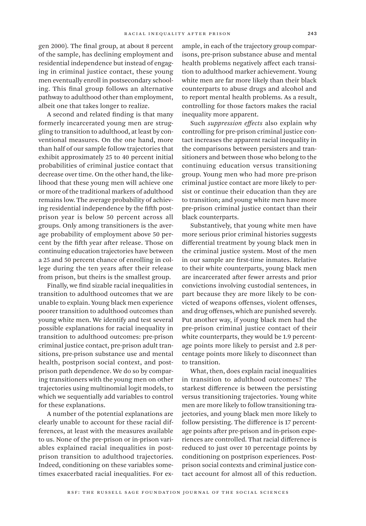gen 2000). The final group, at about 8 percent of the sample, has declining employment and residential independence but instead of engaging in criminal justice contact, these young men eventually enroll in postsecondary schooling. This final group follows an alternative pathway to adulthood other than employment, albeit one that takes longer to realize.

A second and related finding is that many formerly incarcerated young men are struggling to transition to adulthood, at least by conventional measures. On the one hand, more than half of our sample follow trajectories that exhibit approximately 25 to 40 percent initial probabilities of criminal justice contact that decrease over time. On the other hand, the likelihood that these young men will achieve one or more of the traditional markers of adulthood remains low. The average probability of achieving residential independence by the fifth postprison year is below 50 percent across all groups. Only among transitioners is the average probability of employment above 50 percent by the fifth year after release. Those on continuing education trajectories have between a 25 and 50 percent chance of enrolling in college during the ten years after their release from prison, but theirs is the smallest group.

Finally, we find sizable racial inequalities in transition to adulthood outcomes that we are unable to explain. Young black men experience poorer transition to adulthood outcomes than young white men. We identify and test several possible explanations for racial inequality in transition to adulthood outcomes: pre-prison criminal justice contact, pre-prison adult transitions, pre-prison substance use and mental health, postprison social context, and postprison path dependence. We do so by comparing transitioners with the young men on other trajectories using multinomial logit models, to which we sequentially add variables to control for these explanations.

A number of the potential explanations are clearly unable to account for these racial differences, at least with the measures available to us. None of the pre-prison or in-prison variables explained racial inequalities in postprison transition to adulthood trajectories. Indeed, conditioning on these variables sometimes exacerbated racial inequalities. For example, in each of the trajectory group comparisons, pre-prison substance abuse and mental health problems negatively affect each transition to adulthood marker achievement. Young white men are far more likely than their black counterparts to abuse drugs and alcohol and to report mental health problems. As a result, controlling for those factors makes the racial inequality more apparent.

Such *suppression effects* also explain why controlling for pre-prison criminal justice contact increases the apparent racial inequality in the comparisons between persisters and transitioners and between those who belong to the continuing education versus transitioning group. Young men who had more pre-prison criminal justice contact are more likely to persist or continue their education than they are to transition; and young white men have more pre-prison criminal justice contact than their black counterparts.

Substantively, that young white men have more serious prior criminal histories suggests differential treatment by young black men in the criminal justice system. Most of the men in our sample are first-time inmates. Relative to their white counterparts, young black men are incarcerated after fewer arrests and prior convictions involving custodial sentences, in part because they are more likely to be convicted of weapons offenses, violent offenses, and drug offenses, which are punished severely. Put another way, if young black men had the pre-prison criminal justice contact of their white counterparts, they would be 1.9 percentage points more likely to persist and 2.8 percentage points more likely to disconnect than to transition.

What, then, does explain racial inequalities in transition to adulthood outcomes? The starkest difference is between the persisting versus transitioning trajectories. Young white men are more likely to follow transitioning trajectories, and young black men more likely to follow persisting. The difference is 17 percentage points after pre-prison and in-prison experiences are controlled. That racial difference is reduced to just over 10 percentage points by conditioning on postprison experiences. Postprison social contexts and criminal justice contact account for almost all of this reduction.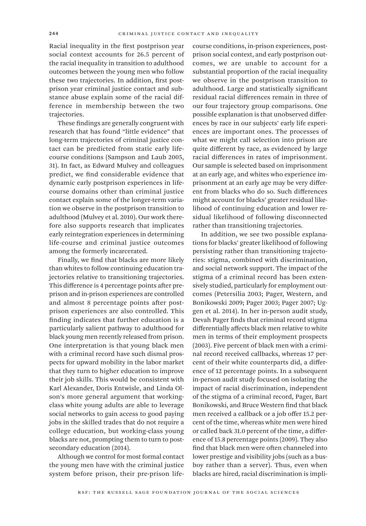Racial inequality in the first postprison year social context accounts for 26.5 percent of the racial inequality in transition to adulthood outcomes between the young men who follow these two trajectories. In addition, first postprison year criminal justice contact and substance abuse explain some of the racial difference in membership between the two trajectories.

These findings are generally congruent with research that has found "little evidence" that long-term trajectories of criminal justice contact can be predicted from static early lifecourse conditions (Sampson and Laub 2005, 31). In fact, as Edward Mulvey and colleagues predict, we find considerable evidence that dynamic early postprison experiences in lifecourse domains other than criminal justice contact explain some of the longer-term variation we observe in the postprison transition to adulthood (Mulvey et al. 2010). Our work therefore also supports research that implicates early reintegration experiences in determining life-course and criminal justice outcomes among the formerly incarcerated.

Finally, we find that blacks are more likely than whites to follow continuing education trajectories relative to transitioning trajectories. This difference is 4 percentage points after preprison and in-prison experiences are controlled and almost 8 percentage points after postprison experiences are also controlled. This finding indicates that further education is a particularly salient pathway to adulthood for black young men recently released from prison. One interpretation is that young black men with a criminal record have such dismal prospects for upward mobility in the labor market that they turn to higher education to improve their job skills. This would be consistent with Karl Alexander, Doris Entwisle, and Linda Olson's more general argument that workingclass white young adults are able to leverage social networks to gain access to good paying jobs in the skilled trades that do not require a college education, but working-class young blacks are not, prompting them to turn to postsecondary education (2014).

Although we control for most formal contact the young men have with the criminal justice system before prison, their pre-prison lifecourse conditions, in-prison experiences, postprison social context, and early postprison outcomes, we are unable to account for a substantial proportion of the racial inequality we observe in the postprison transition to adulthood. Large and statistically significant residual racial differences remain in three of our four trajectory group comparisons. One possible explanation is that unobserved differences by race in our subjects' early life experiences are important ones. The processes of what we might call selection into prison are quite different by race, as evidenced by large racial differences in rates of imprisonment. Our sample is selected based on imprisonment at an early age, and whites who experience imprisonment at an early age may be very different from blacks who do so. Such differences might account for blacks' greater residual likelihood of continuing education and lower residual likelihood of following disconnected rather than transitioning trajectories.

In addition, we see two possible explanations for blacks' greater likelihood of following persisting rather than transitioning trajectories: stigma, combined with discrimination, and social network support. The impact of the stigma of a criminal record has been extensively studied, particularly for employment outcomes (Petersilia 2003; Pager, Western, and Bonikowski 2009; Pager 2003; Pager 2007; Uggen et al. 2014). In her in-person audit study, Devah Pager finds that criminal record stigma differentially affects black men relative to white men in terms of their employment prospects (2003). Five percent of black men with a criminal record received callbacks, whereas 17 percent of their white counterparts did, a difference of 12 percentage points. In a subsequent in-person audit study focused on isolating the impact of racial discrimination, independent of the stigma of a criminal record, Pager, Bart Bonikowski, and Bruce Western find that black men received a callback or a job offer 15.2 percent of the time, whereas white men were hired or called back 31.0 percent of the time, a difference of 15.8 percentage points (2009). They also find that black men were often channeled into lower prestige and visibility jobs (such as a busboy rather than a server). Thus, even when blacks are hired, racial discrimination is impli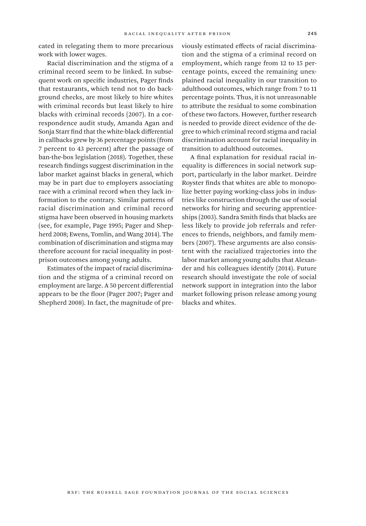cated in relegating them to more precarious work with lower wages.

Racial discrimination and the stigma of a criminal record seem to be linked. In subsequent work on specific industries, Pager finds that restaurants, which tend not to do background checks, are most likely to hire whites with criminal records but least likely to hire blacks with criminal records (2007). In a correspondence audit study, Amanda Agan and Sonja Starr find that the white-black differential in callbacks grew by 36 percentage points (from 7 percent to 43 percent) after the passage of ban-the-box legislation (2018). Together, these research findings suggest discrimination in the labor market against blacks in general, which may be in part due to employers associating race with a criminal record when they lack information to the contrary. Similar patterns of racial discrimination and criminal record stigma have been observed in housing markets (see, for example, Page 1995; Pager and Shepherd 2008; Ewens, Tomlin, and Wang 2014). The combination of discrimination and stigma may therefore account for racial inequality in postprison outcomes among young adults.

Estimates of the impact of racial discrimination and the stigma of a criminal record on employment are large. A 50 percent differential appears to be the floor (Pager 2007; Pager and Shepherd 2008). In fact, the magnitude of previously estimated effects of racial discrimination and the stigma of a criminal record on employment, which range from 12 to 15 percentage points, exceed the remaining unexplained racial inequality in our transition to adulthood outcomes, which range from 7 to 11 percentage points. Thus, it is not unreasonable to attribute the residual to some combination of these two factors. However, further research is needed to provide direct evidence of the degree to which criminal record stigma and racial discrimination account for racial inequality in transition to adulthood outcomes.

A final explanation for residual racial inequality is differences in social network support, particularly in the labor market. Deirdre Royster finds that whites are able to monopolize better paying working-class jobs in industries like construction through the use of social networks for hiring and securing apprenticeships (2003). Sandra Smith finds that blacks are less likely to provide job referrals and references to friends, neighbors, and family members (2007). These arguments are also consistent with the racialized trajectories into the labor market among young adults that Alexander and his colleagues identify (2014). Future research should investigate the role of social network support in integration into the labor market following prison release among young blacks and whites.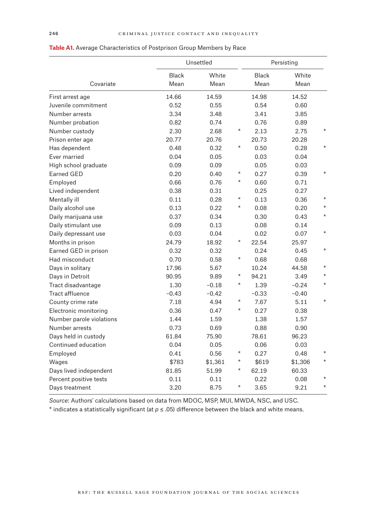|                          |                      | Unsettled     |         |                      | Persisting    |         |
|--------------------------|----------------------|---------------|---------|----------------------|---------------|---------|
| Covariate                | <b>Black</b><br>Mean | White<br>Mean |         | <b>Black</b><br>Mean | White<br>Mean |         |
| First arrest age         | 14.66                | 14.59         |         | 14.98                | 14.52         |         |
| Juvenile commitment      | 0.52                 | 0.55          |         | 0.54                 | 0.60          |         |
| Number arrests           | 3.34                 | 3.48          |         | 3.41                 | 3.85          |         |
| Number probation         | 0.82                 | 0.74          |         | 0.76                 | 0.89          |         |
| Number custody           | 2.30                 | 2.68          | $\star$ | 2.13                 | 2.75          | $\star$ |
| Prison enter age         | 20.77                | 20.76         |         | 20.73                | 20.28         |         |
| Has dependent            | 0.48                 | 0.32          | $\star$ | 0.50                 | 0.28          | $\star$ |
| Ever married             | 0.04                 | 0.05          |         | 0.03                 | 0.04          |         |
| High school graduate     | 0.09                 | 0.09          |         | 0.05                 | 0.03          |         |
| Earned GED               | 0.20                 | 0.40          | $\star$ | 0.27                 | 0.39          | $\star$ |
| Employed                 | 0.66                 | 0.76          | $\star$ | 0.60                 | 0.71          |         |
| Lived independent        | 0.38                 | 0.31          |         | 0.25                 | 0.27          |         |
| Mentally ill             | 0.11                 | 0.28          | $\star$ | 0.13                 | 0.36          | $\ast$  |
| Daily alcohol use        | 0.13                 | 0.22          | $\star$ | 0.08                 | 0.20          | $\star$ |
| Daily marijuana use      | 0.37                 | 0.34          |         | 0.30                 | 0.43          | $\star$ |
| Daily stimulant use      | 0.09                 | 0.13          |         | 0.08                 | 0.14          |         |
| Daily depressant use     | 0.03                 | 0.04          |         | 0.02                 | 0.07          | $\star$ |
| Months in prison         | 24.79                | 18.92         | $\star$ | 22.54                | 25.97         |         |
| Earned GED in prison     | 0.32                 | 0.32          |         | 0.24                 | 0.45          | $\star$ |
| Had misconduct           | 0.70                 | 0.58          | $\star$ | 0.68                 | 0.68          |         |
| Days in solitary         | 17.96                | 5.67          |         | 10.24                | 44.58         | $\star$ |
| Days in Detroit          | 90.95                | 9.89          | $\star$ | 94.21                | 3.49          | $\star$ |
| Tract disadvantage       | 1.30                 | $-0.18$       | $\star$ | 1.39                 | $-0.24$       | $\star$ |
| Tract affluence          | $-0.43$              | $-0.42$       |         | $-0.33$              | $-0.40$       |         |
| County crime rate        | 7.18                 | 4.94          | $\star$ | 7.67                 | 5.11          | $\star$ |
| Electronic monitoring    | 0.36                 | 0.47          | $\star$ | 0.27                 | 0.38          |         |
| Number parole violations | 1.44                 | 1.59          |         | 1.38                 | 1.57          |         |
| Number arrests           | 0.73                 | 0.69          |         | 0.88                 | 0.90          |         |
|                          |                      |               |         | 78.61                |               |         |
| Days held in custody     | 61.84                | 75.90         |         |                      | 96.23         |         |
| Continued education      | 0.04                 | 0.05          | $\star$ | 0.06                 | 0.03          | $\star$ |
| Employed                 | 0.41                 | 0.56          |         | 0.27                 | 0.48          |         |
| Wages                    | \$783                | \$1,361       | $\star$ | \$619                | \$1,306       | $\star$ |
| Days lived independent   | 81.85                | 51.99         | $\star$ | 62.19                | 60.33         |         |
| Percent positive tests   | 0.11                 | 0.11          |         | 0.22                 | 0.08          | $\star$ |
| Days treatment           | 3.20                 | 8.75          | $\star$ | 3.65                 | 9.21          | $\star$ |

# **Table A1.** Average Characteristics of Postprison Group Members by Race

*Source*: Authors' calculations based on data from MDOC, MSP, MUI, MWDA, NSC, and USC.

\* indicates a statistically significant (at *p* ≤ .05) difference between the black and white means.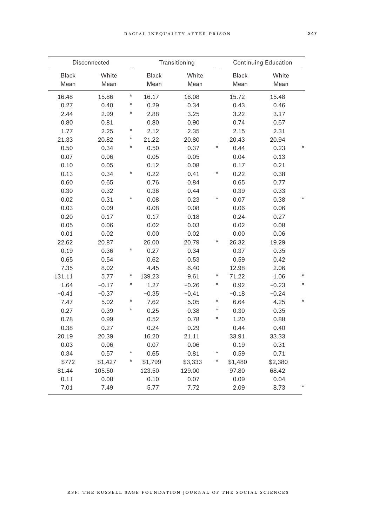|         | Disconnected |         |         | Transitioning |         |              | <b>Continuing Education</b> |
|---------|--------------|---------|---------|---------------|---------|--------------|-----------------------------|
| Black   | White        |         | Black   | White         |         | <b>Black</b> | White                       |
| Mean    | Mean         |         | Mean    | Mean          |         | Mean         | Mean                        |
| 16.48   | 15.86        | $\star$ | 16.17   | 16.08         |         | 15.72        | 15.48                       |
| 0.27    | 0.40         | $\star$ | 0.29    | 0.34          |         | 0.43         | 0.46                        |
| 2.44    | 2.99         | $\star$ | 2.88    | 3.25          |         | 3.22         | 3.17                        |
| 0.80    | 0.81         |         | 0.80    | 0.90          |         | 0.74         | 0.67                        |
| 1.77    | 2.25         | $\star$ | 2.12    | 2.35          |         | 2.15         | 2.31                        |
| 21.33   | 20.82        | $\star$ | 21.22   | 20.80         |         | 20.43        | 20.94                       |
| 0.50    | 0.34         | $\star$ | 0.50    | 0.37          | $\star$ | 0.44         | 0.23                        |
| 0.07    | 0.06         |         | 0.05    | 0.05          |         | 0.04         | 0.13                        |
| 0.10    | 0.05         |         | 0.12    | 0.08          |         | 0.17         | 0.21                        |
| 0.13    | 0.34         | $\star$ | 0.22    | 0.41          | $\star$ | 0.22         | 0.38                        |
| 0.60    | 0.65         |         | 0.76    | 0.84          |         | 0.65         | 0.77                        |
| 0.30    | 0.32         |         | 0.36    | 0.44          |         | 0.39         | 0.33                        |
| 0.02    | 0.31         | $\star$ | 0.08    | 0.23          | $\star$ | 0.07         | 0.38                        |
| 0.03    | 0.09         |         | 0.08    | 0.08          |         | 0.06         | 0.06                        |
| 0.20    | 0.17         |         | 0.17    | 0.18          |         | 0.24         | 0.27                        |
| 0.05    | 0.06         |         | 0.02    | 0.03          |         | 0.02         | 0.08                        |
| 0.01    | 0.02         |         | 0.00    | 0.02          |         | 0.00         | 0.06                        |
| 22.62   | 20.87        |         | 26.00   | 20.79         | $\star$ | 26.32        | 19.29                       |
| 0.19    | 0.36         | $\star$ | 0.27    | 0.34          |         | 0.37         | 0.35                        |
| 0.65    | 0.54         |         | 0.62    | 0.53          |         | 0.59         | 0.42                        |
| 7.35    | 8.02         |         | 4.45    | 6.40          |         | 12.98        | 2.06                        |
| 131.11  | 5.77         | $\star$ | 139.23  | 9.61          | $\star$ | 71.22        | 1.06                        |
| 1.64    | $-0.17$      | $\star$ | 1.27    | $-0.26$       | $\star$ | 0.92         | $-0.23$                     |
| $-0.41$ | $-0.37$      |         | $-0.35$ | $-0.41$       |         | $-0.18$      | $-0.24$                     |
| 7.47    | 5.02         | $\star$ | 7.62    | 5.05          | $\star$ | 6.64         | 4.25                        |
| 0.27    | 0.39         | $\star$ | 0.25    | 0.38          | $\star$ | 0.30         | 0.35                        |
| 0.78    | 0.99         |         | 0.52    | 0.78          | $\star$ | 1.20         | 0.88                        |
| 0.38    | 0.27         |         | 0.24    | 0.29          |         | 0.44         | 0.40                        |
| 20.19   | 20.39        |         | 16.20   | 21.11         |         | 33.91        | 33.33                       |
| 0.03    | 0.06         |         | 0.07    | 0.06          |         | 0.19         | 0.31                        |
| 0.34    | 0.57         | $\star$ | 0.65    | 0.81          | $\star$ | 0.59         | 0.71                        |
| \$772   | \$1,427      | $\star$ | \$1,799 | \$3,333       | $\star$ | \$1,480      | \$2,380                     |
| 81.44   | 105.50       |         | 123.50  | 129.00        |         | 97.80        | 68.42                       |
| 0.11    | 0.08         |         | 0.10    | 0.07          |         | 0.09         | 0.04                        |
| 7.01    | 7.49         |         | 5.77    | 7.72          |         | 2.09         | 8.73                        |
|         |              |         |         |               |         |              |                             |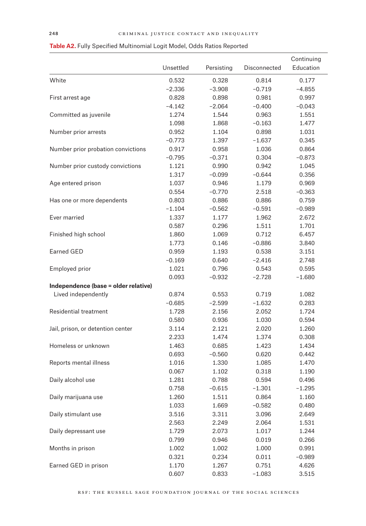|                                      | Unsettled | Persisting | Disconnected | Continuing<br>Education |
|--------------------------------------|-----------|------------|--------------|-------------------------|
| White                                | 0.532     | 0.328      | 0.814        | 0.177                   |
|                                      | $-2.336$  | $-3.908$   | $-0.719$     | $-4.855$                |
| First arrest age                     | 0.828     | 0.898      | 0.981        | 0.997                   |
|                                      | $-4.142$  | $-2.064$   | $-0.400$     | $-0.043$                |
| Committed as juvenile                | 1.274     | 1.544      | 0.963        | 1.551                   |
|                                      | 1.098     | 1.868      | $-0.163$     | 1.477                   |
| Number prior arrests                 | 0.952     | 1.104      | 0.898        | 1.031                   |
|                                      | $-0.773$  | 1.397      | $-1.637$     | 0.345                   |
| Number prior probation convictions   | 0.917     | 0.958      | 1.036        | 0.864                   |
|                                      | $-0.795$  | $-0.371$   | 0.304        | $-0.873$                |
| Number prior custody convictions     | 1.121     | 0.990      | 0.942        | 1.045                   |
|                                      | 1.317     | $-0.099$   | $-0.644$     | 0.356                   |
| Age entered prison                   | 1.037     | 0.946      | 1.179        | 0.969                   |
|                                      | 0.554     | $-0.770$   | 2.518        | $-0.363$                |
| Has one or more dependents           | 0.803     | 0.886      | 0.886        | 0.759                   |
|                                      | $-1.104$  | $-0.562$   | $-0.591$     | $-0.989$                |
| Ever married                         | 1.337     | 1.177      | 1.962        | 2.672                   |
|                                      | 0.587     | 0.296      | 1.511        | 1.701                   |
| Finished high school                 | 1.860     | 1.069      | 0.712        | 6.457                   |
|                                      | 1.773     | 0.146      | $-0.886$     | 3.840                   |
| <b>Earned GED</b>                    | 0.959     | 1.193      | 0.538        | 3.151                   |
|                                      | $-0.169$  | 0.640      | $-2.416$     | 2.748                   |
| Employed prior                       | 1.021     | 0.796      | 0.543        | 0.595                   |
|                                      | 0.093     | $-0.932$   | $-2.728$     | $-1.680$                |
| Independence (base = older relative) |           |            |              |                         |
| Lived independently                  | 0.874     | 0.553      | 0.719        | 1.082                   |
|                                      | $-0.685$  | $-2.599$   | $-1.632$     | 0.283                   |
| <b>Residential treatment</b>         | 1.728     | 2.156      | 2.052        | 1.724                   |
|                                      | 0.580     | 0.936      | 1.030        | 0.594                   |
| Jail, prison, or detention center    | 3.114     | 2.121      | 2.020        | 1.260                   |
|                                      | 2.233     | 1.474      | 1.374        | 0.308                   |
| Homeless or unknown                  | 1.463     | 0.685      | 1.423        | 1.434                   |
|                                      | 0.693     | $-0.560$   | 0.620        | 0.442                   |
| Reports mental illness               | 1.016     | 1.330      | 1.085        | 1.470                   |
|                                      | 0.067     | 1.102      | 0.318        | 1.190                   |
| Daily alcohol use                    | 1.281     | 0.788      | 0.594        | 0.496                   |
|                                      | 0.758     | $-0.615$   | $-1.301$     | $-1.295$                |
| Daily marijuana use                  | 1.260     | 1.511      | 0.864        | 1.160                   |
|                                      | 1.033     | 1.669      | $-0.582$     | 0.480                   |
| Daily stimulant use                  | 3.516     | 3.311      | 3.096        | 2.649                   |
|                                      | 2.563     | 2.249      | 2.064        | 1.531                   |
| Daily depressant use                 | 1.729     | 2.073      | 1.017        | 1.244                   |
|                                      | 0.799     | 0.946      | 0.019        | 0.266                   |
| Months in prison                     | 1.002     | 1.002      | 1.000        | 0.991                   |
|                                      | 0.321     | 0.234      | 0.011        | $-0.989$                |
| Earned GED in prison                 | 1.170     | 1.267      | 0.751        | 4.626                   |
|                                      | 0.607     | 0.833      | $-1.083$     | 3.515                   |

# **Table A2.** Fully Specified Multinomial Logit Model, Odds Ratios Reported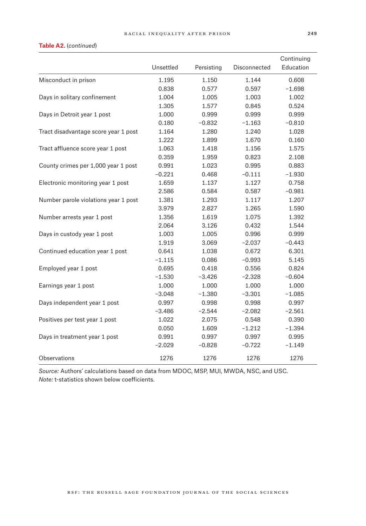# **Table A2.** (*continued*)

|                                      | Unsettled | Persisting | Disconnected | Continuing<br>Education |
|--------------------------------------|-----------|------------|--------------|-------------------------|
| Misconduct in prison                 | 1.195     | 1.150      | 1.144        | 0.608                   |
|                                      | 0.838     | 0.577      | 0.597        | $-1.698$                |
| Days in solitary confinement         | 1.004     | 1.005      | 1.003        | 1.002                   |
|                                      | 1.305     | 1.577      | 0.845        | 0.524                   |
| Days in Detroit year 1 post          | 1.000     | 0.999      | 0.999        | 0.999                   |
|                                      | 0.180     | $-0.832$   | $-1.163$     | $-0.810$                |
| Tract disadvantage score year 1 post | 1.164     | 1.280      | 1.240        | 1.028                   |
|                                      | 1.222     | 1.899      | 1.670        | 0.160                   |
| Tract affluence score year 1 post    | 1.063     | 1.418      | 1.156        | 1.575                   |
|                                      | 0.359     | 1.959      | 0.823        | 2.108                   |
| County crimes per 1,000 year 1 post  | 0.991     | 1.023      | 0.995        | 0.883                   |
|                                      | $-0.221$  | 0.468      | $-0.111$     | $-1.930$                |
| Electronic monitoring year 1 post    | 1.659     | 1.137      | 1.127        | 0.758                   |
|                                      | 2.586     | 0.584      | 0.587        | $-0.981$                |
| Number parole violations year 1 post | 1.381     | 1.293      | 1.117        | 1.207                   |
|                                      | 3.979     | 2.827      | 1.265        | 1.590                   |
| Number arrests year 1 post           | 1.356     | 1.619      | 1.075        | 1.392                   |
|                                      | 2.064     | 3.126      | 0.432        | 1.544                   |
| Days in custody year 1 post          | 1.003     | 1.005      | 0.996        | 0.999                   |
|                                      | 1.919     | 3.069      | $-2.037$     | $-0.443$                |
| Continued education year 1 post      | 0.641     | 1.038      | 0.672        | 6.301                   |
|                                      | $-1.115$  | 0.086      | $-0.993$     | 5.145                   |
| Employed year 1 post                 | 0.695     | 0.418      | 0.556        | 0.824                   |
|                                      | $-1.530$  | $-3.426$   | $-2.328$     | $-0.604$                |
| Earnings year 1 post                 | 1.000     | 1.000      | 1.000        | 1.000                   |
|                                      | $-3.048$  | $-1.380$   | $-3.301$     | $-1.085$                |
| Days independent year 1 post         | 0.997     | 0.998      | 0.998        | 0.997                   |
|                                      | $-3.486$  | $-2.544$   | $-2.082$     | $-2.561$                |
| Positives per test year 1 post       | 1.022     | 2.075      | 0.548        | 0.390                   |
|                                      | 0.050     | 1.609      | $-1.212$     | $-1.394$                |
| Days in treatment year 1 post        | 0.991     | 0.997      | 0.997        | 0.995                   |
|                                      | $-2.029$  | $-0.828$   | $-0.722$     | $-1.149$                |
| <b>Observations</b>                  | 1276      | 1276       | 1276         | 1276                    |

*Source:* Authors' calculations based on data from MDOC, MSP, MUI, MWDA, NSC, and USC. *Note:* t-statistics shown below coefficients.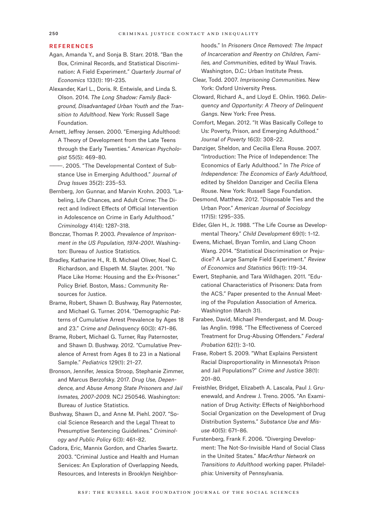#### **REFERENCES**

- Agan, Amanda Y., and Sonja B. Starr. 2018. "Ban the Box, Criminal Records, and Statistical Discrimination: A Field Experiment." *Quarterly Journal of Economics* 133(1): 191–235.
- Alexander, Karl L., Doris. R. Entwisle, and Linda S. Olson. 2014. *The Long Shadow: Family Background, Disadvantaged Urban Youth and the Transition to Adulthood*. New York: Russell Sage Foundation.
- Arnett, Jeffrey Jensen. 2000. "Emerging Adulthood: A Theory of Development from the Late Teens through the Early Twenties." *American Psychologist* 55(5): 469–80.
- ———. 2005. "The Developmental Context of Substance Use in Emerging Adulthood." *Journal of Drug Issues* 35(2): 235–53.
- Bernberg, Jon Gunnar, and Marvin Krohn. 2003. "Labeling, Life Chances, and Adult Crime: The Direct and Indirect Effects of Official Intervention in Adolescence on Crime in Early Adulthood." *Criminology* 41(4): 1287–318.
- Bonczar, Thomas P. 2003. *Prevalence of Imprisonment in the US Population, 1974–2001*. Washington: Bureau of Justice Statistics.
- Bradley, Katharine H., R. B. Michael Oliver, Noel C. Richardson, and Elspeth M. Slayter. 2001. "No Place Like Home: Housing and the Ex-Prisoner." Policy Brief. Boston, Mass.: Community Resources for Justice.
- Brame, Robert, Shawn D. Bushway, Ray Paternoster, and Michael G. Turner. 2014. "Demographic Patterns of Cumulative Arrest Prevalence by Ages 18 and 23." *Crime and Delinquency* 60(3): 471–86.
- Brame, Robert, Michael G. Turner, Ray Paternoster, and Shawn D. Bushway. 2012. "Cumulative Prevalence of Arrest from Ages 8 to 23 in a National Sample." *Pediatrics* 129(1): 21–27.
- Bronson, Jennifer, Jessica Stroop, Stephanie Zimmer, and Marcus Berzofsky. 2017. *Drug Use, Dependence, and Abuse Among State Prisoners and Jail Inmates, 2007–2009.* NCJ 250546. Washington: Bureau of Justice Statistics.
- Bushway, Shawn D., and Anne M. Piehl. 2007. "Social Science Research and the Legal Threat to Presumptive Sentencing Guidelines." *Criminology and Public Policy* 6(3): 461–82.
- Cadora, Eric, Mannix Gordon, and Charles Swartz. 2003. "Criminal Justice and Health and Human Services: An Exploration of Overlapping Needs, Resources, and Interests in Brooklyn Neighbor-

hoods." In *Prisoners Once Removed: The Impact of Incarceration and Reentry on Children, Families, and Communities*, edited by Waul Travis. Washington, D.C.: Urban Institute Press.

- Clear, Todd. 2007. *Imprisoning Communities.* New York: Oxford University Press.
- Cloward, Richard A., and Lloyd E. Ohlin. 1960. *Delinquency and Opportunity: A Theory of Delinquent Gangs*. New York: Free Press.
- Comfort, Megan. 2012. "It Was Basically College to Us: Poverty, Prison, and Emerging Adulthood." *Journal of Poverty* 16(3): 308–22.
- Danziger, Sheldon, and Cecilia Elena Rouse. 2007. "Introduction: The Price of Independence: The Economics of Early Adulthood." In *The Price of Independence: The Economics of Early Adulthood*, edited by Sheldon Danziger and Cecilia Elena Rouse. New York: Russell Sage Foundation.
- Desmond, Matthew. 2012. "Disposable Ties and the Urban Poor." *American Journal of Sociology* 117(5): 1295–335.
- Elder, Glen H., Jr. 1988. "The Life Course as Developmental Theory." *Child Development* 69(1): 1–12.
- Ewens, Michael, Bryan Tomlin, and Liang Choon Wang. 2014. "Statistical Discrimination or Prejudice? A Large Sample Field Experiment." *Review of Economics and Statistics* 96(1): 119–34.
- Ewert, Stephanie, and Tara Wildhagen. 2011. "Educational Characteristics of Prisoners: Data from the ACS." Paper presented to the Annual Meeting of the Population Association of America. Washington (March 31).
- Farabee, David, Michael Prendergast, and M. Douglas Anglin. 1998. "The Effectiveness of Coerced Treatment for Drug-Abusing Offenders." *Federal Probation* 62(1): 3–10.
- Frase, Robert S. 2009. "What Explains Persistent Racial Disproportionality in Minnesota's Prison and Jail Populations?" *Crime and Justice* 38(1): 201–80.
- Freisthler, Bridget, Elizabeth A. Lascala, Paul J. Gruenewald, and Andrew J. Treno. 2005. "An Examination of Drug Activity: Effects of Neighborhood Social Organization on the Development of Drug Distribution Systems." *Substance Use and Misuse* 40(5): 671–86.
- Furstenberg, Frank F. 2006. "Diverging Development: The Not-So-Invisible Hand of Social Class in the United States." *MacArthur Network on Transitions to Adulthoo*d working paper. Philadelphia: University of Pennsylvania.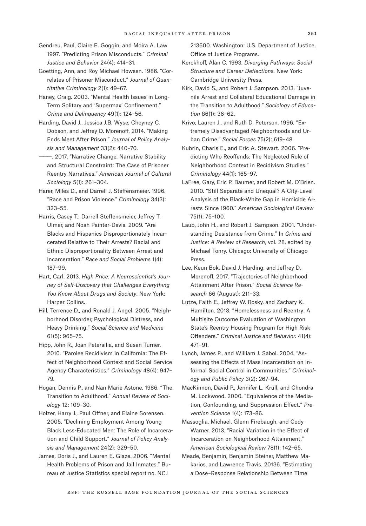- Gendreu, Paul, Claire E. Goggin, and Moira A. Law 1997. "Predicting Prison Misconducts." *Criminal Justice and Behavior* 24(4): 414–31.
- Goetting, Ann, and Roy Michael Howsen. 1986. "Correlates of Prisoner Misconduct." *Journal of Quantitative Criminology* 2(1): 49–67.
- Haney, Craig. 2003. "Mental Health Issues in Long-Term Solitary and 'Supermax' Confinement." *Crime and Delinquency* 49(1): 124–56.
- Harding, David J., Jessica J.B. Wyse, Cheyney C, Dobson, and Jeffrey D. Morenoff. 2014. "Making Ends Meet After Prison." *Journal of Policy Analysis and Management* 33(2): 440–70.
- ———. 2017. "Narrative Change, Narrative Stability and Structural Constraint: The Case of Prisoner Reentry Narratives." *American Journal of Cultural Sociology* 5(1): 261–304.
- Harer, Miles D., and Darrell J. Steffensmeier. 1996. "Race and Prison Violence." *Criminology* 34(3): 323–55.
- Harris, Casey T., Darrell Steffensmeier, Jeffrey T. Ulmer, and Noah Painter-Davis. 2009. "Are Blacks and Hispanics Disproportionately Incarcerated Relative to Their Arrests? Racial and Ethnic Disproportionality Between Arrest and Incarceration." *Race and Social Problems* 1(4): 187–99.
- Hart, Carl. 2013. *High Price: A Neuroscientist's Journey of Self-Discovery that Challenges Everything You Know About Drugs and Society*. New York: Harper Collins.
- Hill, Terrence D., and Ronald J. Angel. 2005. "Neighborhood Disorder, Psychological Distress, and Heavy Drinking." *Social Science and Medicine* 61(5): 965–75.
- Hipp, John R., Joan Petersilia, and Susan Turner. 2010. "Parolee Recidivism in California: The Effect of Neighborhood Context and Social Service Agency Characteristics." *Criminology* 48(4): 947– 79.
- Hogan, Dennis P., and Nan Marie Astone. 1986. "The Transition to Adulthood." *Annual Review of Sociology* 12: 109–30.
- Holzer, Harry J., Paul Offner, and Elaine Sorensen. 2005. "Declining Employment Among Young Black Less-Educated Men: The Role of Incarceration and Child Support." *Journal of Policy Analysis and Management* 24(2): 329–50.
- James, Doris J., and Lauren E. Glaze. 2006. "Mental Health Problems of Prison and Jail Inmates." Bureau of Justice Statistics special report no. NCJ

213600. Washington: U.S. Department of Justice, Office of Justice Programs.

- Kerckhoff, Alan C. 1993. *Diverging Pathways: Social Structure and Career Deflections.* New York: Cambridge University Press.
- Kirk, David S., and Robert J. Sampson. 2013. "Juvenile Arrest and Collateral Educational Damage in the Transition to Adulthood." *Sociology of Education* 86(1): 36–62.
- Krivo, Lauren J., and Ruth D. Peterson. 1996. "Extremely Disadvantaged Neighborhoods and Urban Crime." *Social Forces* 75(2): 619–48.
- Kubrin, Charis E., and Eric A. Stewart. 2006. "Predicting Who Reoffends: The Neglected Role of Neighborhood Context in Recidivism Studies." *Criminology* 44(1): 165–97.
- LaFree, Gary, Eric P. Baumer, and Robert M. O'Brien. 2010. "Still Separate and Unequal? A City-Level Analysis of the Black-White Gap in Homicide Arrests Since 1960." *American Sociological Review* 75(1): 75–100.
- Laub, John H., and Robert J. Sampson. 2001. "Understanding Desistance from Crime." In *Crime and Justice: A Review of Research*, vol. 28, edited by Michael Tonry. Chicago: University of Chicago Press.
- Lee, Keun Bok, David J. Harding, and Jeffrey D. Morenoff. 2017. "Trajectories of Neighborhood Attainment After Prison." *Social Science Research* 66 (August): 211–33.
- Lutze, Faith E., Jeffrey W. Rosky, and Zachary K. Hamilton. 2013. "Homelessness and Reentry: A Multisite Outcome Evaluation of Washington State's Reentry Housing Program for High Risk Offenders." *Criminal Justice and Behavior.* 41(4): 471–91.
- Lynch, James P., and William J. Sabol. 2004. "Assessing the Effects of Mass Incarceration on Informal Social Control in Communities." *Criminology and Public Policy* 3(2): 267–94.
- MacKinnon, David P., Jennifer L. Krull, and Chondra M. Lockwood. 2000. "Equivalence of the Mediation, Confounding, and Suppression Effect." *Prevention Science* 1(4): 173–86.
- Massoglia, Michael, Glenn Firebaugh, and Cody Warner. 2013. "Racial Variation in the Effect of Incarceration on Neighborhood Attainment." *American Sociological Review* 78(1): 142–65.
- Meade, Benjamin, Benjamin Steiner, Matthew Makarios, and Lawrence Travis. 20136. "Estimating a Dose–Response Relationship Between Time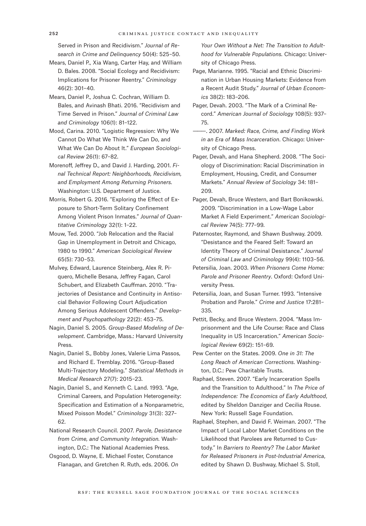Served in Prison and Recidivism." *Journal of Research in Crime and Delinquency* 50(4): 525–50.

- Mears, Daniel P., Xia Wang, Carter Hay, and William D. Bales. 2008. "Social Ecology and Recidivism: Implications for Prisoner Reentry." *Criminology* 46(2): 301–40.
- Mears, Daniel P., Joshua C. Cochran, William D. Bales, and Avinash Bhati. 2016. "Recidivism and Time Served in Prison." *Journal of Criminal Law and Criminology* 106(1): 81–122.
- Mood, Carina. 2010. "Logistic Regression: Why We Cannot Do What We Think We Can Do, and What We Can Do About It." *European Sociological Review* 26(1): 67–82.
- Morenoff, Jeffrey D., and David J. Harding, 2001. *Final Technical Report: Neighborhoods, Recidivism, and Employment Among Returning Prisoners.* Washington: U.S. Department of Justice.
- Morris, Robert G. 2016. "Exploring the Effect of Exposure to Short-Term Solitary Confinement Among Violent Prison Inmates." *Journal of Quantitative Criminology* 32(1): 1–22.
- Mouw, Ted. 2000. "Job Relocation and the Racial Gap in Unemployment in Detroit and Chicago, 1980 to 1990." *American Sociological Review* 65(5): 730–53.
- Mulvey, Edward, Laurence Steinberg, Alex R. Piquero, Michelle Besana, Jeffrey Fagan, Carol Schubert, and Elizabeth Cauffman. 2010. "Trajectories of Desistance and Continuity in Antisocial Behavior Following Court Adjudication Among Serious Adolescent Offenders." *Development and Psychopathology* 22(2): 453–75.
- Nagin, Daniel S. 2005. *Group-Based Modeling of Development*. Cambridge, Mass.: Harvard University Press.
- Nagin, Daniel S., Bobby Jones, Valerie Lima Passos, and Richard E. Tremblay. 2016. "Group-Based Multi-Trajectory Modeling." *Statistical Methods in Medical Research* 27(7): 2015–23.
- Nagin, Daniel S., and Kenneth C. Land. 1993. "Age, Criminal Careers, and Population Heterogeneity: Specification and Estimation of a Nonparametric, Mixed Poisson Model." *Criminology* 31(3): 327– 62.
- National Research Council. 2007. *Parole, Desistance from Crime, and Community Integration.* Washington, D.C.: The National Academies Press.
- Osgood, D. Wayne, E. Michael Foster, Constance Flanagan, and Gretchen R. Ruth, eds. 2006. *On*

*Your Own Without a Net: The Transition to Adulthood for Vulnerable Populations.* Chicago: University of Chicago Press.

- Page, Marianne. 1995. "Racial and Ethnic Discrimination in Urban Housing Markets: Evidence from a Recent Audit Study." *Journal of Urban Economics* 38(2): 183–206.
- Pager, Devah. 2003. "The Mark of a Criminal Record." *American Journal of Sociology* 108(5): 937– 75.
- ———. 2007. *Marked: Race, Crime, and Finding Work in an Era of Mass Incarceration*. Chicago: University of Chicago Press.
- Pager, Devah, and Hana Shepherd. 2008. "The Sociology of Discrimination: Racial Discrimination in Employment, Housing, Credit, and Consumer Markets." *Annual Review of Sociology* 34: 181– 209.
- Pager, Devah, Bruce Western, and Bart Bonikowski. 2009. "Discrimination in a Low-Wage Labor Market A Field Experiment." *American Sociological Review* 74(5): 777–99.
- Paternoster, Raymond, and Shawn Bushway. 2009. "Desistance and the Feared Self: Toward an Identity Theory of Criminal Desistance." *Journal of Criminal Law and Criminology* 99(4): 1103–56.
- Petersilia, Joan. 2003. *When Prisoners Come Home: Parole and Prisoner Reentry*. Oxford: Oxford University Press.
- Petersilia, Joan, and Susan Turner. 1993. "Intensive Probation and Parole." *Crime and Justice* 17:281– 335.
- Pettit, Becky, and Bruce Western. 2004. "Mass Imprisonment and the Life Course: Race and Class Inequality in US Incarceration." *American Sociological Review* 69(2): 151–69.
- Pew Center on the States. 2009. *One in 31: The Long Reach of American Corrections*. Washington, D.C.: Pew Charitable Trusts.
- Raphael, Steven. 2007. "Early Incarceration Spells and the Transition to Adulthood." In *The Price of Independence: The Economics of Early Adulthood*, edited by Sheldon Danziger and Cecilia Rouse. New York: Russell Sage Foundation.
- Raphael, Stephen, and David F. Weiman. 2007. "The Impact of Local Labor Market Conditions on the Likelihood that Parolees are Returned to Custody." In *Barriers to Reentry? The Labor Market for Released Prisoners in Post-Industrial America*, edited by Shawn D. Bushway, Michael S. Stoll,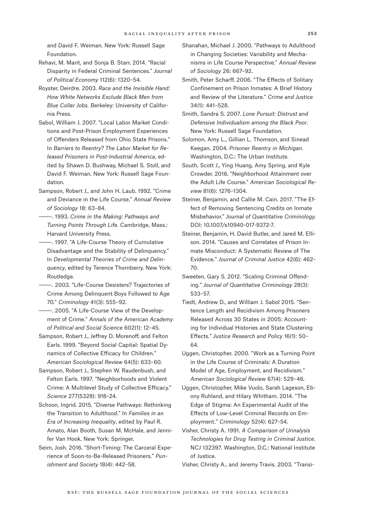and David F. Weiman. New York: Russell Sage Foundation.

- Rehavi, M. Marit, and Sonja B. Starr. 2014. "Racial Disparity in Federal Criminal Sentences." *Journal of Political Economy* 112(6): 1320–54.
- Royster, Deirdre. 2003. *Race and the Invisible Hand: How White Networks Exclude Black Men from Blue Collar Jobs.* Berkeley: University of California Press.
- Sabol, William J. 2007. "Local Labor Market Conditions and Post-Prison Employment Experiences of Offenders Released from Ohio State Prisons." In *Barriers to Reentry? The Labor Market for Released Prisoners in Post-Industrial America*, edited by Shawn D. Bushway, Michael S. Stoll, and David F. Weiman. New York: Russell Sage Foundation.
- Sampson, Robert J., and John H. Laub. 1992. "Crime and Deviance in the Life Course." *Annual Review of Sociology* 18: 63–84.
- ———. 1993. *Crime in the Making: Pathways and Turning Points Through Life.* Cambridge, Mass.: Harvard University Press.
- $-$ . 1997. "A Life-Course Theory of Cumulative Disadvantage and the Stability of Delinquency." In *Developmental Theories of Crime and Delinquency*, edited by Terence Thornberry. New York: Routledge.
- ———. 2003. "Life-Course Desisters? Trajectories of Crime Among Delinquent Boys Followed to Age 70." *Criminology* 41(3): 555–92.
- ———. 2005. "A Life-Course View of the Development of Crime." *Annals of the American Academy of Political and Social Science* 602(1): 12–45.
- Sampson, Robert J., Jeffrey D. Morenoff, and Felton Earls. 1999. "Beyond Social Capital: Spatial Dynamics of Collective Efficacy for Children." *American Sociological Review* 64(5): 633–60.
- Sampson, Robert J., Stephen W. Raudenbush, and Felton Earls. 1997. "Neighborhoods and Violent Crime: A Multilevel Study of Collective Efficacy." *Science* 277(5328): 918–24.
- Schoon, Ingrid. 2015. "Diverse Pathways: Rethinking the Transition to Adulthood." In *Families in an Era of Increasing Inequality*, edited by Paul R. Amato, Alan Booth, Susan M. McHale, and Jennifer Van Hook. New York: Springer.
- Seim, Josh. 2016. "Short-Timing: The Carceral Experience of Soon-to-Be-Released Prisoners." *Punishment and Society* 18(4): 442–58.
- Shanahan, Michael J. 2000. "Pathways to Adulthood in Changing Societies: Variability and Mechanisms in Life Course Perspective." *Annual Review of Sociology* 26: 667–92.
- Smith, Peter Scharff. 2006. "The Effects of Solitary Confinement on Prison Inmates: A Brief History and Review of the Literature." *Crime and Justice* 34(1): 441–528.
- Smith, Sandra S. 2007. *Lone Pursuit: Distrust and Defensive Individualism among the Black Poor*. New York: Russell Sage Foundation.
- Solomon, Amy L., Gillian L. Thomson, and Sinead Keegan. 2004. *Prisoner Reentry in Michigan*. Washington, D.C.: The Urban Institute.
- South, Scott J., Ying Huang, Amy Spring, and Kyle Crowder. 2016. "Neighborhood Attainment over the Adult Life Course." *American Sociological Review* 81(6): 1276–1304.
- Steiner, Benjamin, and Callie M. Cain. 2017. "The Effect of Removing Sentencing Credits on Inmate Misbehavior." *Journal of Quantitative Criminology.* DOI: 10.1007/s10940-017-9372-7.
- Steiner, Benjamin, H. David Butler, and Jared M. Ellison. 2014. "Causes and Correlates of Prison Inmate Misconduct: A Systematic Review of The Evidence." *Journal of Criminal Justice* 42(6): 462– 70.
- Sweeten, Gary S. 2012. "Scaling Criminal Offending." *Journal of Quantitative Criminology* 28(3): 533–57.
- Tiedt, Andrew D., and William J. Sabol 2015. "Sentence Length and Recidivism Among Prisoners Released Across 30 States in 2005: Accounting for Individual Histories and State Clustering Effects." *Justice Research and Policy* 16(1): 50– 64.
- Uggen, Christopher. 2000. "Work as a Turning Point in the Life Course of Criminals: A Duration Model of Age, Employment, and Recidivism." *American Sociological Review* 67(4): 529–46.
- Uggen, Christopher, Mike Vuolo, Sarah Lageson, Ebony Ruhland, and Hilary Whitham. 2014. "The Edge of Stigma: An Experimental Audit of the Effects of Low-Level Criminal Records on Employment." *Criminology* 52(4): 627–54.
- Visher, Christy A. 1991. *A Comparison of Urinalysis Technologies for Drug Testing in Criminal Justice*. NCJ 132397. Washington, D.C.: National Institute of Justice.

Visher, Christy A., and Jeremy Travis. 2003. "Transi-